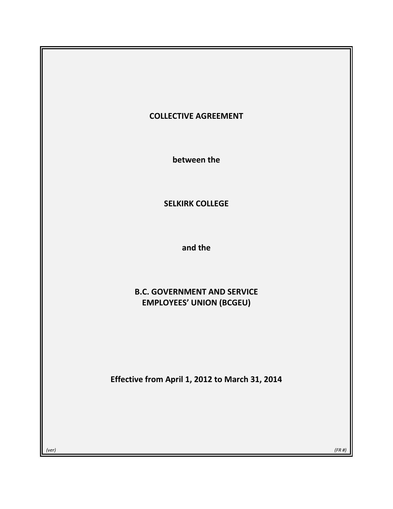# **COLLECTIVE AGREEMENT**

**between the**

# **SELKIRK COLLEGE**

**and the**

# **B.C. GOVERNMENT AND SERVICE EMPLOYEES' UNION (BCGEU)**

**Effective from April 1, 2012 to March 31, 2014**

*(ver) (FR #)*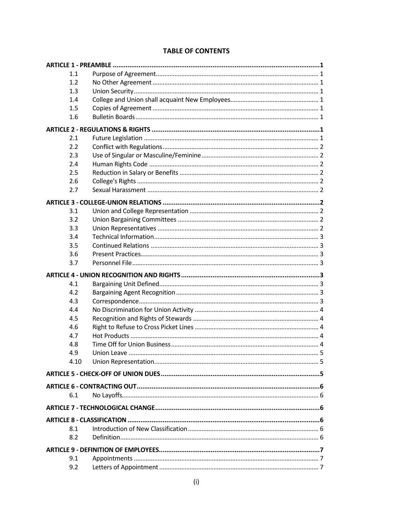| 1.1  |  |
|------|--|
| 1.2  |  |
| 1.3  |  |
| 1.4  |  |
| 1.5  |  |
| 1.6  |  |
|      |  |
| 2.1  |  |
| 2.2  |  |
| 2.3  |  |
| 2.4  |  |
| 2.5  |  |
| 2.6  |  |
| 2.7  |  |
|      |  |
|      |  |
| 3.1  |  |
| 3.2  |  |
| 3.3  |  |
| 3.4  |  |
| 3.5  |  |
| 3.6  |  |
| 3.7  |  |
|      |  |
|      |  |
| 4.1  |  |
| 4.2  |  |
| 4.3  |  |
| 4.4  |  |
| 4.5  |  |
| 4.6  |  |
| 4.7  |  |
| 4.8  |  |
| 4.9  |  |
| 4.10 |  |
|      |  |
|      |  |
|      |  |
| 6.1  |  |
|      |  |
|      |  |
| 8.1  |  |
| 8.2  |  |
|      |  |
| 9.1  |  |

# **TABLE OF CONTENTS**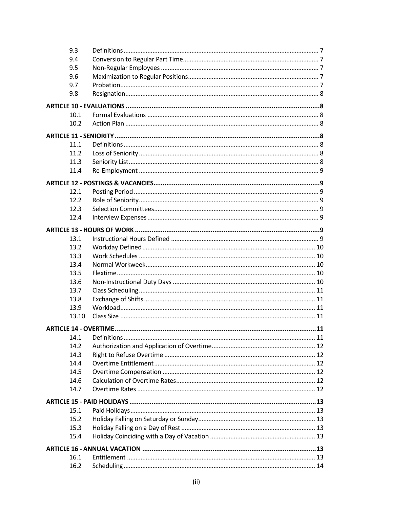| 9.3   |  |
|-------|--|
| 9.4   |  |
| 9.5   |  |
| 9.6   |  |
| 9.7   |  |
| 9.8   |  |
|       |  |
|       |  |
| 10.1  |  |
| 10.2  |  |
|       |  |
| 11.1  |  |
| 11.2  |  |
| 11.3  |  |
| 11.4  |  |
|       |  |
|       |  |
| 12.1  |  |
| 12.2  |  |
| 12.3  |  |
| 12.4  |  |
|       |  |
| 13.1  |  |
| 13.2  |  |
| 13.3  |  |
| 13.4  |  |
| 13.5  |  |
| 13.6  |  |
| 13.7  |  |
| 13.8  |  |
| 13.9  |  |
| 13.10 |  |
|       |  |
|       |  |
| 14.1  |  |
| 14.2  |  |
| 14.3  |  |
| 14.4  |  |
| 14.5  |  |
| 14.6  |  |
| 14.7  |  |
|       |  |
| 15.1  |  |
| 15.2  |  |
| 15.3  |  |
| 15.4  |  |
|       |  |
|       |  |
| 16.1  |  |
| 16.2  |  |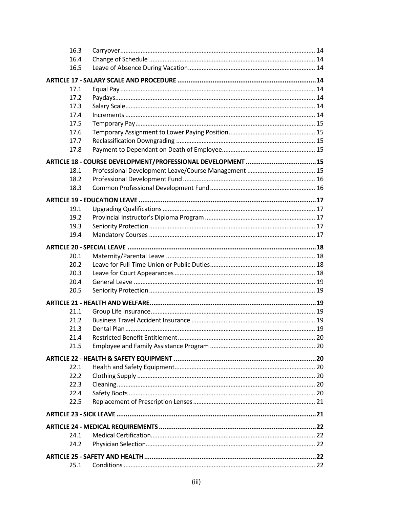| 16.3 |  |
|------|--|
| 16.4 |  |
| 16.5 |  |
|      |  |
| 17.1 |  |
| 17.2 |  |
| 17.3 |  |
| 17.4 |  |
| 17.5 |  |
| 17.6 |  |
| 17.7 |  |
| 17.8 |  |
|      |  |
| 18.1 |  |
| 18.2 |  |
| 18.3 |  |
|      |  |
| 19.1 |  |
| 19.2 |  |
| 19.3 |  |
| 19.4 |  |
|      |  |
|      |  |
| 20.1 |  |
| 20.2 |  |
| 20.3 |  |
| 20.4 |  |
| 20.5 |  |
|      |  |
| 21.1 |  |
| 21.2 |  |
| 21.3 |  |
| 21.4 |  |
| 21.5 |  |
|      |  |
| 22.1 |  |
| 22.2 |  |
| 22.3 |  |
| 22.4 |  |
| 22.5 |  |
|      |  |
|      |  |
| 24.1 |  |
| 24.2 |  |
|      |  |
|      |  |
| 25.1 |  |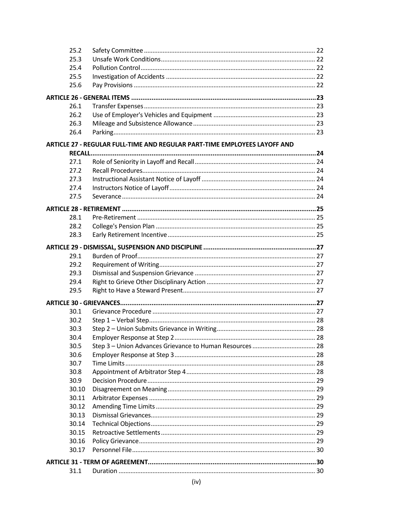| 25.2  |                                                                           |  |  |  |  |  |
|-------|---------------------------------------------------------------------------|--|--|--|--|--|
| 25.3  |                                                                           |  |  |  |  |  |
| 25.4  |                                                                           |  |  |  |  |  |
| 25.5  |                                                                           |  |  |  |  |  |
| 25.6  |                                                                           |  |  |  |  |  |
|       |                                                                           |  |  |  |  |  |
| 26.1  |                                                                           |  |  |  |  |  |
| 26.2  |                                                                           |  |  |  |  |  |
| 26.3  |                                                                           |  |  |  |  |  |
| 26.4  |                                                                           |  |  |  |  |  |
|       | ARTICLE 27 - REGULAR FULL-TIME AND REGULAR PART-TIME EMPLOYEES LAYOFF AND |  |  |  |  |  |
|       |                                                                           |  |  |  |  |  |
| 27.1  |                                                                           |  |  |  |  |  |
| 27.2  |                                                                           |  |  |  |  |  |
| 27.3  |                                                                           |  |  |  |  |  |
| 27.4  |                                                                           |  |  |  |  |  |
| 27.5  |                                                                           |  |  |  |  |  |
|       |                                                                           |  |  |  |  |  |
| 28.1  |                                                                           |  |  |  |  |  |
| 28.2  |                                                                           |  |  |  |  |  |
| 28.3  |                                                                           |  |  |  |  |  |
|       |                                                                           |  |  |  |  |  |
| 29.1  |                                                                           |  |  |  |  |  |
| 29.2  |                                                                           |  |  |  |  |  |
| 29.3  |                                                                           |  |  |  |  |  |
| 29.4  |                                                                           |  |  |  |  |  |
| 29.5  |                                                                           |  |  |  |  |  |
|       |                                                                           |  |  |  |  |  |
| 30.1  |                                                                           |  |  |  |  |  |
| 30.2  |                                                                           |  |  |  |  |  |
| 30.3  |                                                                           |  |  |  |  |  |
| 30.4  |                                                                           |  |  |  |  |  |
| 30.5  |                                                                           |  |  |  |  |  |
| 30.6  |                                                                           |  |  |  |  |  |
| 30.7  |                                                                           |  |  |  |  |  |
| 30.8  |                                                                           |  |  |  |  |  |
| 30.9  |                                                                           |  |  |  |  |  |
| 30.10 |                                                                           |  |  |  |  |  |
| 30.11 |                                                                           |  |  |  |  |  |
| 30.12 |                                                                           |  |  |  |  |  |
| 30.13 |                                                                           |  |  |  |  |  |
| 30.14 |                                                                           |  |  |  |  |  |
| 30.15 |                                                                           |  |  |  |  |  |
| 30.16 |                                                                           |  |  |  |  |  |
| 30.17 |                                                                           |  |  |  |  |  |
|       |                                                                           |  |  |  |  |  |
| 31.1  |                                                                           |  |  |  |  |  |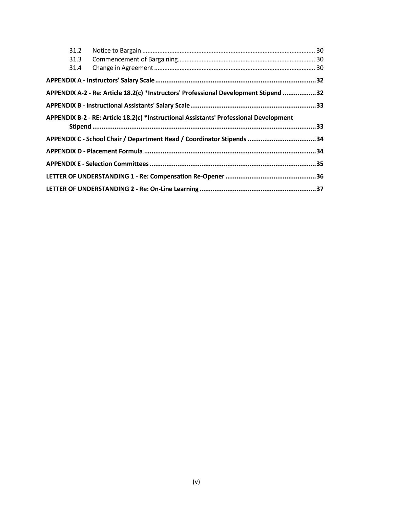| 31.2 |                                                                                        |  |
|------|----------------------------------------------------------------------------------------|--|
| 31.3 |                                                                                        |  |
| 31.4 |                                                                                        |  |
|      |                                                                                        |  |
|      | APPENDIX A-2 - Re: Article 18.2(c) *Instructors' Professional Development Stipend 32   |  |
|      |                                                                                        |  |
|      | APPENDIX B-2 - RE: Article 18.2(c) *Instructional Assistants' Professional Development |  |
|      |                                                                                        |  |
|      | APPENDIX C - School Chair / Department Head / Coordinator Stipends 34                  |  |
|      |                                                                                        |  |
|      |                                                                                        |  |
|      |                                                                                        |  |
|      |                                                                                        |  |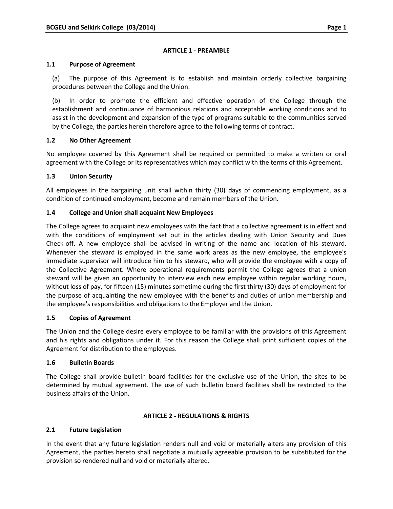### **ARTICLE 1 - PREAMBLE**

#### **1.1 Purpose of Agreement**

(a) The purpose of this Agreement is to establish and maintain orderly collective bargaining procedures between the College and the Union.

(b) In order to promote the efficient and effective operation of the College through the establishment and continuance of harmonious relations and acceptable working conditions and to assist in the development and expansion of the type of programs suitable to the communities served by the College, the parties herein therefore agree to the following terms of contract.

# **1.2 No Other Agreement**

No employee covered by this Agreement shall be required or permitted to make a written or oral agreement with the College or its representatives which may conflict with the terms of this Agreement.

#### **1.3 Union Security**

All employees in the bargaining unit shall within thirty (30) days of commencing employment, as a condition of continued employment, become and remain members of the Union.

### **1.4 College and Union shall acquaint New Employees**

The College agrees to acquaint new employees with the fact that a collective agreement is in effect and with the conditions of employment set out in the articles dealing with Union Security and Dues Check-off. A new employee shall be advised in writing of the name and location of his steward. Whenever the steward is employed in the same work areas as the new employee, the employee's immediate supervisor will introduce him to his steward, who will provide the employee with a copy of the Collective Agreement. Where operational requirements permit the College agrees that a union steward will be given an opportunity to interview each new employee within regular working hours, without loss of pay, for fifteen (15) minutes sometime during the first thirty (30) days of employment for the purpose of acquainting the new employee with the benefits and duties of union membership and the employee's responsibilities and obligations to the Employer and the Union.

# **1.5 Copies of Agreement**

The Union and the College desire every employee to be familiar with the provisions of this Agreement and his rights and obligations under it. For this reason the College shall print sufficient copies of the Agreement for distribution to the employees.

#### **1.6 Bulletin Boards**

The College shall provide bulletin board facilities for the exclusive use of the Union, the sites to be determined by mutual agreement. The use of such bulletin board facilities shall be restricted to the business affairs of the Union.

#### **ARTICLE 2 - REGULATIONS & RIGHTS**

# **2.1 Future Legislation**

In the event that any future legislation renders null and void or materially alters any provision of this Agreement, the parties hereto shall negotiate a mutually agreeable provision to be substituted for the provision so rendered null and void or materially altered.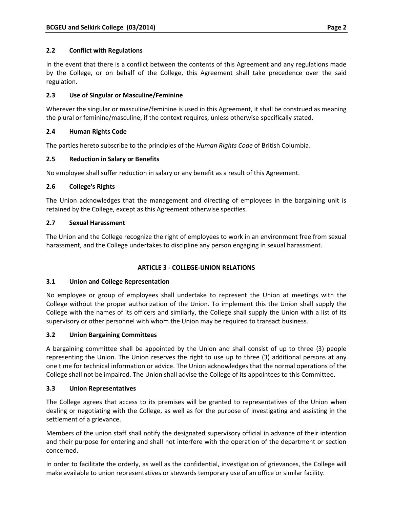# **2.2 Conflict with Regulations**

In the event that there is a conflict between the contents of this Agreement and any regulations made by the College, or on behalf of the College, this Agreement shall take precedence over the said regulation.

# **2.3 Use of Singular or Masculine/Feminine**

Wherever the singular or masculine/feminine is used in this Agreement, it shall be construed as meaning the plural or feminine/masculine, if the context requires, unless otherwise specifically stated.

# **2.4 Human Rights Code**

The parties hereto subscribe to the principles of the *Human Rights Code* of British Columbia.

# **2.5 Reduction in Salary or Benefits**

No employee shall suffer reduction in salary or any benefit as a result of this Agreement.

# **2.6 College's Rights**

The Union acknowledges that the management and directing of employees in the bargaining unit is retained by the College, except as this Agreement otherwise specifies.

# **2.7 Sexual Harassment**

The Union and the College recognize the right of employees to work in an environment free from sexual harassment, and the College undertakes to discipline any person engaging in sexual harassment.

# **ARTICLE 3 - COLLEGE-UNION RELATIONS**

# **3.1 Union and College Representation**

No employee or group of employees shall undertake to represent the Union at meetings with the College without the proper authorization of the Union. To implement this the Union shall supply the College with the names of its officers and similarly, the College shall supply the Union with a list of its supervisory or other personnel with whom the Union may be required to transact business.

# **3.2 Union Bargaining Committees**

A bargaining committee shall be appointed by the Union and shall consist of up to three (3) people representing the Union. The Union reserves the right to use up to three (3) additional persons at any one time for technical information or advice. The Union acknowledges that the normal operations of the College shall not be impaired. The Union shall advise the College of its appointees to this Committee.

# **3.3 Union Representatives**

The College agrees that access to its premises will be granted to representatives of the Union when dealing or negotiating with the College, as well as for the purpose of investigating and assisting in the settlement of a grievance.

Members of the union staff shall notify the designated supervisory official in advance of their intention and their purpose for entering and shall not interfere with the operation of the department or section concerned.

In order to facilitate the orderly, as well as the confidential, investigation of grievances, the College will make available to union representatives or stewards temporary use of an office or similar facility.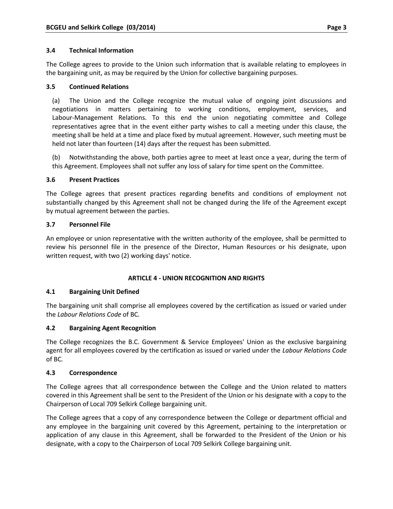### **3.4 Technical Information**

The College agrees to provide to the Union such information that is available relating to employees in the bargaining unit, as may be required by the Union for collective bargaining purposes.

### **3.5 Continued Relations**

(a) The Union and the College recognize the mutual value of ongoing joint discussions and negotiations in matters pertaining to working conditions, employment, services, and Labour-Management Relations. To this end the union negotiating committee and College representatives agree that in the event either party wishes to call a meeting under this clause, the meeting shall be held at a time and place fixed by mutual agreement. However, such meeting must be held not later than fourteen (14) days after the request has been submitted.

(b) Notwithstanding the above, both parties agree to meet at least once a year, during the term of this Agreement. Employees shall not suffer any loss of salary for time spent on the Committee.

#### **3.6 Present Practices**

The College agrees that present practices regarding benefits and conditions of employment not substantially changed by this Agreement shall not be changed during the life of the Agreement except by mutual agreement between the parties.

#### **3.7 Personnel File**

An employee or union representative with the written authority of the employee, shall be permitted to review his personnel file in the presence of the Director, Human Resources or his designate, upon written request, with two (2) working days' notice.

# **ARTICLE 4 - UNION RECOGNITION AND RIGHTS**

# **4.1 Bargaining Unit Defined**

The bargaining unit shall comprise all employees covered by the certification as issued or varied under the *Labour Relations Code* of BC*.*

# **4.2 Bargaining Agent Recognition**

The College recognizes the B.C. Government & Service Employees' Union as the exclusive bargaining agent for all employees covered by the certification as issued or varied under the *Labour Relations Code*  of BC*.*

#### **4.3 Correspondence**

The College agrees that all correspondence between the College and the Union related to matters covered in this Agreement shall be sent to the President of the Union or his designate with a copy to the Chairperson of Local 709 Selkirk College bargaining unit.

The College agrees that a copy of any correspondence between the College or department official and any employee in the bargaining unit covered by this Agreement, pertaining to the interpretation or application of any clause in this Agreement, shall be forwarded to the President of the Union or his designate, with a copy to the Chairperson of Local 709 Selkirk College bargaining unit.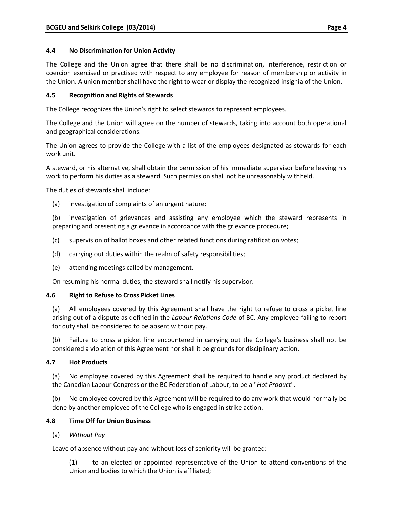# **4.4 No Discrimination for Union Activity**

The College and the Union agree that there shall be no discrimination, interference, restriction or coercion exercised or practised with respect to any employee for reason of membership or activity in the Union. A union member shall have the right to wear or display the recognized insignia of the Union.

# **4.5 Recognition and Rights of Stewards**

The College recognizes the Union's right to select stewards to represent employees.

The College and the Union will agree on the number of stewards, taking into account both operational and geographical considerations.

The Union agrees to provide the College with a list of the employees designated as stewards for each work unit.

A steward, or his alternative, shall obtain the permission of his immediate supervisor before leaving his work to perform his duties as a steward. Such permission shall not be unreasonably withheld.

The duties of stewards shall include:

(a) investigation of complaints of an urgent nature;

(b) investigation of grievances and assisting any employee which the steward represents in preparing and presenting a grievance in accordance with the grievance procedure;

- (c) supervision of ballot boxes and other related functions during ratification votes;
- (d) carrying out duties within the realm of safety responsibilities;
- (e) attending meetings called by management.

On resuming his normal duties, the steward shall notify his supervisor.

# **4.6 Right to Refuse to Cross Picket Lines**

(a) All employees covered by this Agreement shall have the right to refuse to cross a picket line arising out of a dispute as defined in the *Labour Relations Code* of BC. Any employee failing to report for duty shall be considered to be absent without pay.

(b) Failure to cross a picket line encountered in carrying out the College's business shall not be considered a violation of this Agreement nor shall it be grounds for disciplinary action.

# **4.7 Hot Products**

(a) No employee covered by this Agreement shall be required to handle any product declared by the Canadian Labour Congress or the BC Federation of Labour, to be a "*Hot Product*".

(b) No employee covered by this Agreement will be required to do any work that would normally be done by another employee of the College who is engaged in strike action.

# **4.8 Time Off for Union Business**

(a) *Without Pay*

Leave of absence without pay and without loss of seniority will be granted:

(1) to an elected or appointed representative of the Union to attend conventions of the Union and bodies to which the Union is affiliated;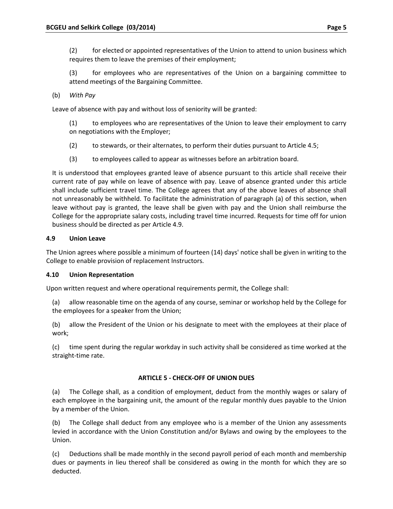(2) for elected or appointed representatives of the Union to attend to union business which requires them to leave the premises of their employment;

(3) for employees who are representatives of the Union on a bargaining committee to attend meetings of the Bargaining Committee.

(b) *With Pay*

Leave of absence with pay and without loss of seniority will be granted:

(1) to employees who are representatives of the Union to leave their employment to carry on negotiations with the Employer;

- (2) to stewards, or their alternates, to perform their duties pursuant to Article 4.5;
- (3) to employees called to appear as witnesses before an arbitration board.

It is understood that employees granted leave of absence pursuant to this article shall receive their current rate of pay while on leave of absence with pay. Leave of absence granted under this article shall include sufficient travel time. The College agrees that any of the above leaves of absence shall not unreasonably be withheld. To facilitate the administration of paragraph (a) of this section, when leave without pay is granted, the leave shall be given with pay and the Union shall reimburse the College for the appropriate salary costs, including travel time incurred. Requests for time off for union business should be directed as per Article 4.9.

# **4.9 Union Leave**

The Union agrees where possible a minimum of fourteen (14) days' notice shall be given in writing to the College to enable provision of replacement Instructors.

# **4.10 Union Representation**

Upon written request and where operational requirements permit, the College shall:

(a) allow reasonable time on the agenda of any course, seminar or workshop held by the College for the employees for a speaker from the Union;

(b) allow the President of the Union or his designate to meet with the employees at their place of work;

(c) time spent during the regular workday in such activity shall be considered as time worked at the straight-time rate.

# **ARTICLE 5 - CHECK-OFF OF UNION DUES**

(a) The College shall, as a condition of employment, deduct from the monthly wages or salary of each employee in the bargaining unit, the amount of the regular monthly dues payable to the Union by a member of the Union.

(b) The College shall deduct from any employee who is a member of the Union any assessments levied in accordance with the Union Constitution and/or Bylaws and owing by the employees to the Union.

(c) Deductions shall be made monthly in the second payroll period of each month and membership dues or payments in lieu thereof shall be considered as owing in the month for which they are so deducted.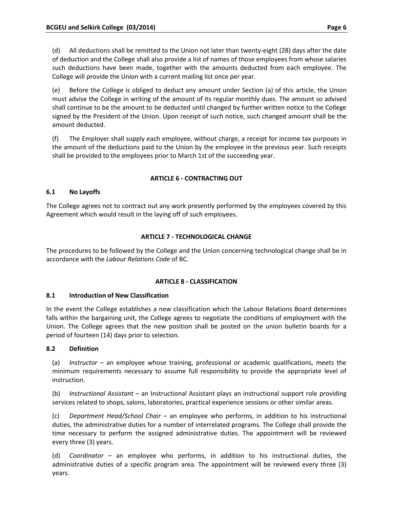(d) All deductions shall be remitted to the Union not later than twenty-eight (28) days after the date of deduction and the College shall also provide a list of names of those employees from whose salaries such deductions have been made, together with the amounts deducted from each employee. The College will provide the Union with a current mailing list once per year.

(e) Before the College is obliged to deduct any amount under Section (a) of this article, the Union must advise the College in writing of the amount of its regular monthly dues. The amount so advised shall continue to be the amount to be deducted until changed by further written notice to the College signed by the President of the Union. Upon receipt of such notice, such changed amount shall be the amount deducted.

(f) The Employer shall supply each employee, without charge, a receipt for income tax purposes in the amount of the deductions paid to the Union by the employee in the previous year. Such receipts shall be provided to the employees prior to March 1st of the succeeding year.

# **ARTICLE 6 - CONTRACTING OUT**

# **6.1 No Layoffs**

The College agrees not to contract out any work presently performed by the employees covered by this Agreement which would result in the laying off of such employees.

# **ARTICLE 7 - TECHNOLOGICAL CHANGE**

The procedures to be followed by the College and the Union concerning technological change shall be in accordance with the *Labour Relations Code* of BC*.*

# **ARTICLE 8 - CLASSIFICATION**

# **8.1 Introduction of New Classification**

In the event the College establishes a new classification which the Labour Relations Board determines falls within the bargaining unit, the College agrees to negotiate the conditions of employment with the Union. The College agrees that the new position shall be posted on the union bulletin boards for a period of fourteen (14) days prior to selection.

# **8.2 Definition**

(a) *Instructor* – an employee whose training, professional or academic qualifications, meets the minimum requirements necessary to assume full responsibility to provide the appropriate level of instruction.

(b) *Instructional Assistant* – an Instructional Assistant plays an instructional support role providing services related to shops, salons, laboratories, practical experience sessions or other similar areas.

(c) *Department Head/School Chair* – an employee who performs, in addition to his instructional duties, the administrative duties for a number of interrelated programs. The College shall provide the time necessary to perform the assigned administrative duties. The appointment will be reviewed every three (3) years.

(d) *Coordinator* – an employee who performs, in addition to his instructional duties, the administrative duties of a specific program area. The appointment will be reviewed every three (3) years.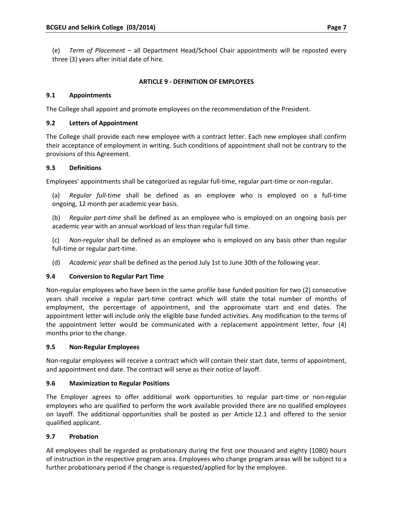(e) *Term of Placement* – all Department Head/School Chair appointments will be reposted every three (3) years after initial date of hire.

# **ARTICLE 9 - DEFINITION OF EMPLOYEES**

# **9.1 Appointments**

The College shall appoint and promote employees on the recommendation of the President.

# **9.2 Letters of Appointment**

The College shall provide each new employee with a contract letter. Each new employee shall confirm their acceptance of employment in writing. Such conditions of appointment shall not be contrary to the provisions of this Agreement.

# **9.3 Definitions**

Employees' appointments shall be categorized as regular full-time, regular part-time or non-regular.

(a) *Regular full-time* shall be defined as an employee who is employed on a full-time ongoing, 12 month per academic year basis.

(b) *Regular part-time* shall be defined as an employee who is employed on an ongoing basis per academic year with an annual workload of less than regular full time.

(c) *Non-regular* shall be defined as an employee who is employed on any basis other than regular full-time or regular part-time.

(d) *Academic year* shall be defined as the period July 1st to June 30th of the following year.

# **9.4 Conversion to Regular Part Time**

Non-regular employees who have been in the same profile base funded position for two (2) consecutive years shall receive a regular part-time contract which will state the total number of months of employment, the percentage of appointment, and the approximate start and end dates. The appointment letter will include only the eligible base funded activities. Any modification to the terms of the appointment letter would be communicated with a replacement appointment letter, four (4) months prior to the change.

# **9.5 Non-Regular Employees**

Non-regular employees will receive a contract which will contain their start date, terms of appointment, and appointment end date. The contract will serve as their notice of layoff.

# **9.6 Maximization to Regular Positions**

The Employer agrees to offer additional work opportunities to regular part-time or non-regular employees who are qualified to perform the work available provided there are no qualified employees on layoff. The additional opportunities shall be posted as per Article 12.1 and offered to the senior qualified applicant.

# **9.7 Probation**

All employees shall be regarded as probationary during the first one thousand and eighty (1080) hours of instruction in the respective program area. Employees who change program areas will be subject to a further probationary period if the change is requested/applied for by the employee.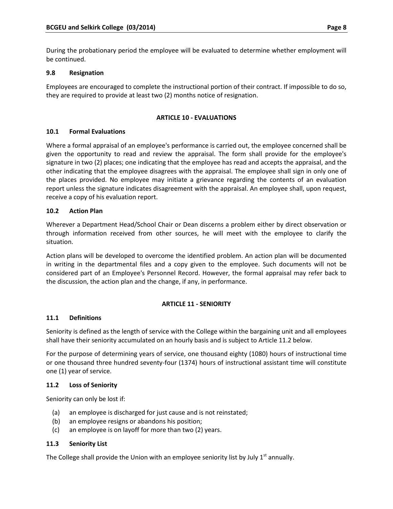During the probationary period the employee will be evaluated to determine whether employment will be continued.

# **9.8 Resignation**

Employees are encouraged to complete the instructional portion of their contract. If impossible to do so, they are required to provide at least two (2) months notice of resignation.

# **ARTICLE 10 - EVALUATIONS**

# **10.1 Formal Evaluations**

Where a formal appraisal of an employee's performance is carried out, the employee concerned shall be given the opportunity to read and review the appraisal. The form shall provide for the employee's signature in two (2) places; one indicating that the employee has read and accepts the appraisal, and the other indicating that the employee disagrees with the appraisal. The employee shall sign in only one of the places provided. No employee may initiate a grievance regarding the contents of an evaluation report unless the signature indicates disagreement with the appraisal. An employee shall, upon request, receive a copy of his evaluation report.

# **10.2 Action Plan**

Wherever a Department Head/School Chair or Dean discerns a problem either by direct observation or through information received from other sources, he will meet with the employee to clarify the situation.

Action plans will be developed to overcome the identified problem. An action plan will be documented in writing in the departmental files and a copy given to the employee. Such documents will not be considered part of an Employee's Personnel Record. However, the formal appraisal may refer back to the discussion, the action plan and the change, if any, in performance.

# **ARTICLE 11 - SENIORITY**

# **11.1 Definitions**

Seniority is defined as the length of service with the College within the bargaining unit and all employees shall have their seniority accumulated on an hourly basis and is subject to Article 11.2 below.

For the purpose of determining years of service, one thousand eighty (1080) hours of instructional time or one thousand three hundred seventy-four (1374) hours of instructional assistant time will constitute one (1) year of service.

# **11.2 Loss of Seniority**

Seniority can only be lost if:

- (a) an employee is discharged for just cause and is not reinstated;
- (b) an employee resigns or abandons his position;
- (c) an employee is on layoff for more than two (2) years.

# **11.3 Seniority List**

The College shall provide the Union with an employee seniority list by July  $1<sup>st</sup>$  annually.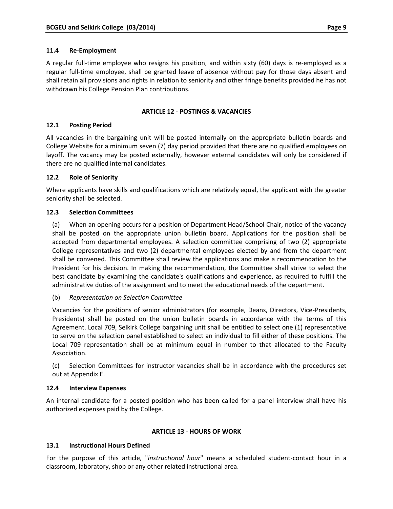# **11.4 Re-Employment**

A regular full-time employee who resigns his position, and within sixty (60) days is re-employed as a regular full-time employee, shall be granted leave of absence without pay for those days absent and shall retain all provisions and rights in relation to seniority and other fringe benefits provided he has not withdrawn his College Pension Plan contributions.

# **ARTICLE 12 - POSTINGS & VACANCIES**

# **12.1 Posting Period**

All vacancies in the bargaining unit will be posted internally on the appropriate bulletin boards and College Website for a minimum seven (7) day period provided that there are no qualified employees on layoff. The vacancy may be posted externally, however external candidates will only be considered if there are no qualified internal candidates.

# **12.2 Role of Seniority**

Where applicants have skills and qualifications which are relatively equal, the applicant with the greater seniority shall be selected.

# **12.3 Selection Committees**

(a) When an opening occurs for a position of Department Head/School Chair, notice of the vacancy shall be posted on the appropriate union bulletin board. Applications for the position shall be accepted from departmental employees. A selection committee comprising of two (2) appropriate College representatives and two (2) departmental employees elected by and from the department shall be convened. This Committee shall review the applications and make a recommendation to the President for his decision. In making the recommendation, the Committee shall strive to select the best candidate by examining the candidate's qualifications and experience, as required to fulfill the administrative duties of the assignment and to meet the educational needs of the department.

# (b) *Representation on Selection Committee*

Vacancies for the positions of senior administrators (for example, Deans, Directors, Vice-Presidents, Presidents) shall be posted on the union bulletin boards in accordance with the terms of this Agreement. Local 709, Selkirk College bargaining unit shall be entitled to select one (1) representative to serve on the selection panel established to select an individual to fill either of these positions. The Local 709 representation shall be at minimum equal in number to that allocated to the Faculty Association.

(c) Selection Committees for instructor vacancies shall be in accordance with the procedures set out at Appendix E.

# **12.4 Interview Expenses**

An internal candidate for a posted position who has been called for a panel interview shall have his authorized expenses paid by the College.

# **ARTICLE 13 - HOURS OF WORK**

# **13.1 Instructional Hours Defined**

For the purpose of this article, "*instructional hour*" means a scheduled student-contact hour in a classroom, laboratory, shop or any other related instructional area.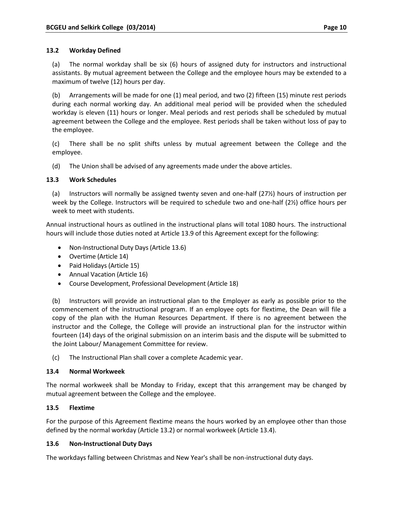### **13.2 Workday Defined**

(a) The normal workday shall be six (6) hours of assigned duty for instructors and instructional assistants. By mutual agreement between the College and the employee hours may be extended to a maximum of twelve (12) hours per day.

(b) Arrangements will be made for one (1) meal period, and two (2) fifteen (15) minute rest periods during each normal working day. An additional meal period will be provided when the scheduled workday is eleven (11) hours or longer. Meal periods and rest periods shall be scheduled by mutual agreement between the College and the employee. Rest periods shall be taken without loss of pay to the employee.

(c) There shall be no split shifts unless by mutual agreement between the College and the employee.

(d) The Union shall be advised of any agreements made under the above articles.

# **13.3 Work Schedules**

(a) Instructors will normally be assigned twenty seven and one-half (27½) hours of instruction per week by the College. Instructors will be required to schedule two and one-half (2½) office hours per week to meet with students.

Annual instructional hours as outlined in the instructional plans will total 1080 hours. The instructional hours will include those duties noted at Article 13.9 of this Agreement except for the following:

- Non-Instructional Duty Days (Article 13.6)
- Overtime (Article 14)
- Paid Holidays (Article 15)
- Annual Vacation (Article 16)
- Course Development, Professional Development (Article 18)

(b) Instructors will provide an instructional plan to the Employer as early as possible prior to the commencement of the instructional program. If an employee opts for flextime, the Dean will file a copy of the plan with the Human Resources Department. If there is no agreement between the instructor and the College, the College will provide an instructional plan for the instructor within fourteen (14) days of the original submission on an interim basis and the dispute will be submitted to the Joint Labour/ Management Committee for review.

(c) The Instructional Plan shall cover a complete Academic year.

# **13.4 Normal Workweek**

The normal workweek shall be Monday to Friday, except that this arrangement may be changed by mutual agreement between the College and the employee.

# **13.5 Flextime**

For the purpose of this Agreement flextime means the hours worked by an employee other than those defined by the normal workday (Article 13.2) or normal workweek (Article 13.4).

# **13.6 Non-Instructional Duty Days**

The workdays falling between Christmas and New Year's shall be non-instructional duty days.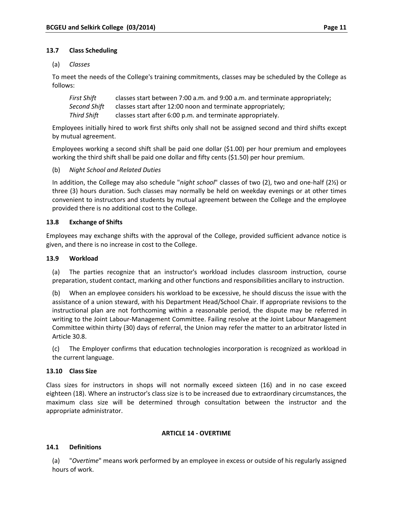# **13.7 Class Scheduling**

(a) *Classes*

To meet the needs of the College's training commitments, classes may be scheduled by the College as follows:

| First Shift  | classes start between 7:00 a.m. and 9:00 a.m. and terminate appropriately; |
|--------------|----------------------------------------------------------------------------|
| Second Shift | classes start after 12:00 noon and terminate appropriately;                |
| Third Shift  | classes start after 6:00 p.m. and terminate appropriately.                 |

Employees initially hired to work first shifts only shall not be assigned second and third shifts except by mutual agreement.

Employees working a second shift shall be paid one dollar (\$1.00) per hour premium and employees working the third shift shall be paid one dollar and fifty cents (\$1.50) per hour premium.

# (b) *Night School and Related Duties*

In addition, the College may also schedule "*night school*" classes of two (2), two and one-half (2½) or three (3) hours duration. Such classes may normally be held on weekday evenings or at other times convenient to instructors and students by mutual agreement between the College and the employee provided there is no additional cost to the College.

# **13.8 Exchange of Shifts**

Employees may exchange shifts with the approval of the College, provided sufficient advance notice is given, and there is no increase in cost to the College.

# **13.9 Workload**

(a) The parties recognize that an instructor's workload includes classroom instruction, course preparation, student contact, marking and other functions and responsibilities ancillary to instruction.

(b) When an employee considers his workload to be excessive, he should discuss the issue with the assistance of a union steward, with his Department Head/School Chair. If appropriate revisions to the instructional plan are not forthcoming within a reasonable period, the dispute may be referred in writing to the Joint Labour-Management Committee. Failing resolve at the Joint Labour Management Committee within thirty (30) days of referral, the Union may refer the matter to an arbitrator listed in Article 30.8.

(c) The Employer confirms that education technologies incorporation is recognized as workload in the current language.

# **13.10 Class Size**

Class sizes for instructors in shops will not normally exceed sixteen (16) and in no case exceed eighteen (18). Where an instructor's class size is to be increased due to extraordinary circumstances, the maximum class size will be determined through consultation between the instructor and the appropriate administrator.

# **ARTICLE 14 - OVERTIME**

# **14.1 Definitions**

(a) "*Overtime*" means work performed by an employee in excess or outside of his regularly assigned hours of work.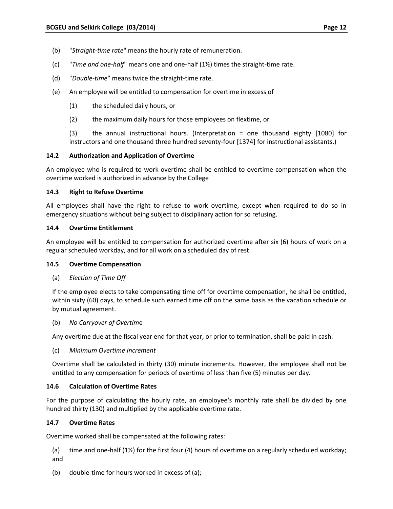- (b) "*Straight-time rate*" means the hourly rate of remuneration.
- (c) "*Time and one-half*" means one and one-half (1½) times the straight-time rate.
- (d) "*Double-time*" means twice the straight-time rate.
- (e) An employee will be entitled to compensation for overtime in excess of
	- (1) the scheduled daily hours, or
	- (2) the maximum daily hours for those employees on flextime, or

(3) the annual instructional hours. (Interpretation = one thousand eighty [1080] for instructors and one thousand three hundred seventy-four [1374] for instructional assistants.)

#### **14.2 Authorization and Application of Overtime**

An employee who is required to work overtime shall be entitled to overtime compensation when the overtime worked is authorized in advance by the College

#### **14.3 Right to Refuse Overtime**

All employees shall have the right to refuse to work overtime, except when required to do so in emergency situations without being subject to disciplinary action for so refusing.

#### **14.4 Overtime Entitlement**

An employee will be entitled to compensation for authorized overtime after six (6) hours of work on a regular scheduled workday, and for all work on a scheduled day of rest.

#### **14.5 Overtime Compensation**

(a) *Election of Time Off*

If the employee elects to take compensating time off for overtime compensation, he shall be entitled, within sixty (60) days, to schedule such earned time off on the same basis as the vacation schedule or by mutual agreement.

(b) *No Carryover of Overtim*e

Any overtime due at the fiscal year end for that year, or prior to termination, shall be paid in cash.

(c) *Minimum Overtime Increment*

Overtime shall be calculated in thirty (30) minute increments. However, the employee shall not be entitled to any compensation for periods of overtime of less than five (5) minutes per day.

#### **14.6 Calculation of Overtime Rates**

For the purpose of calculating the hourly rate, an employee's monthly rate shall be divided by one hundred thirty (130) and multiplied by the applicable overtime rate.

#### **14.7 Overtime Rates**

Overtime worked shall be compensated at the following rates:

(a) time and one-half  $(1\frac{1}{2})$  for the first four (4) hours of overtime on a regularly scheduled workday; and

(b) double-time for hours worked in excess of (a);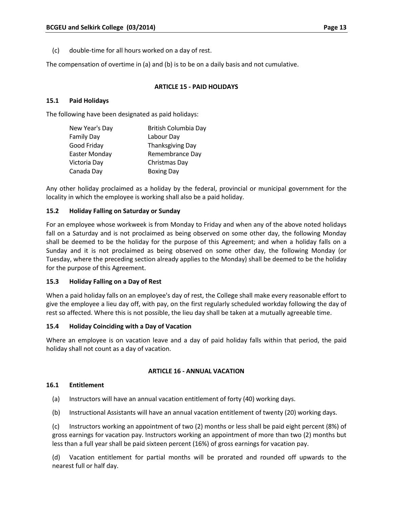(c) double-time for all hours worked on a day of rest.

The compensation of overtime in (a) and (b) is to be on a daily basis and not cumulative.

# **ARTICLE 15 - PAID HOLIDAYS**

#### **15.1 Paid Holidays**

The following have been designated as paid holidays:

| New Year's Day       | British Columbia Day    |
|----------------------|-------------------------|
| <b>Family Day</b>    | Labour Day              |
| Good Friday          | <b>Thanksgiving Day</b> |
| <b>Easter Monday</b> | Remembrance Day         |
| Victoria Day         | Christmas Day           |
| Canada Day           | <b>Boxing Day</b>       |

Any other holiday proclaimed as a holiday by the federal, provincial or municipal government for the locality in which the employee is working shall also be a paid holiday.

#### **15.2 Holiday Falling on Saturday or Sunday**

For an employee whose workweek is from Monday to Friday and when any of the above noted holidays fall on a Saturday and is not proclaimed as being observed on some other day, the following Monday shall be deemed to be the holiday for the purpose of this Agreement; and when a holiday falls on a Sunday and it is not proclaimed as being observed on some other day, the following Monday (or Tuesday, where the preceding section already applies to the Monday) shall be deemed to be the holiday for the purpose of this Agreement.

#### **15.3 Holiday Falling on a Day of Rest**

When a paid holiday falls on an employee's day of rest, the College shall make every reasonable effort to give the employee a lieu day off, with pay, on the first regularly scheduled workday following the day of rest so affected. Where this is not possible, the lieu day shall be taken at a mutually agreeable time.

#### **15.4 Holiday Coinciding with a Day of Vacation**

Where an employee is on vacation leave and a day of paid holiday falls within that period, the paid holiday shall not count as a day of vacation.

#### **ARTICLE 16 - ANNUAL VACATION**

#### **16.1 Entitlement**

- (a) Instructors will have an annual vacation entitlement of forty (40) working days.
- (b) Instructional Assistants will have an annual vacation entitlement of twenty (20) working days.

(c) Instructors working an appointment of two (2) months or less shall be paid eight percent (8%) of gross earnings for vacation pay. Instructors working an appointment of more than two (2) months but less than a full year shall be paid sixteen percent (16%) of gross earnings for vacation pay.

(d) Vacation entitlement for partial months will be prorated and rounded off upwards to the nearest full or half day.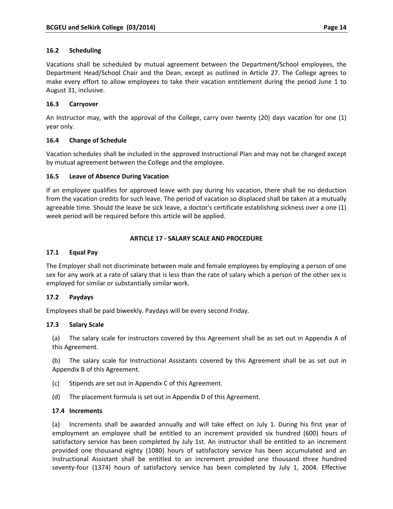Vacations shall be scheduled by mutual agreement between the Department/School employees, the Department Head/School Chair and the Dean, except as outlined in Article 27. The College agrees to make every effort to allow employees to take their vacation entitlement during the period June 1 to August 31, inclusive.

# **16.3 Carryover**

An Instructor may, with the approval of the College, carry over twenty (20) days vacation for one (1) year only.

# **16.4 Change of Schedule**

Vacation schedules shall be included in the approved Instructional Plan and may not be changed except by mutual agreement between the College and the employee.

# **16.5 Leave of Absence During Vacation**

If an employee qualifies for approved leave with pay during his vacation, there shall be no deduction from the vacation credits for such leave. The period of vacation so displaced shall be taken at a mutually agreeable time. Should the leave be sick leave, a doctor's certificate establishing sickness over a one (1) week period will be required before this article will be applied.

# **ARTICLE 17 - SALARY SCALE AND PROCEDURE**

# **17.1 Equal Pay**

The Employer shall not discriminate between male and female employees by employing a person of one sex for any work at a rate of salary that is less than the rate of salary which a person of the other sex is employed for similar or substantially similar work.

# **17.2 Paydays**

Employees shall be paid biweekly. Paydays will be every second Friday.

# **17.3 Salary Scale**

(a) The salary scale for instructors covered by this Agreement shall be as set out in Appendix A of this Agreement.

(b) The salary scale for Instructional Assistants covered by this Agreement shall be as set out in Appendix B of this Agreement.

- (c) Stipends are set out in Appendix C of this Agreement.
- (d) The placement formula is set out in Appendix D of this Agreement.

# **17.4 Increments**

(a) Increments shall be awarded annually and will take effect on July 1. During his first year of employment an employee shall be entitled to an increment provided six hundred (600) hours of satisfactory service has been completed by July 1st. An instructor shall be entitled to an increment provided one thousand eighty (1080) hours of satisfactory service has been accumulated and an Instructional Assistant shall be entitled to an increment provided one thousand three hundred seventy-four (1374) hours of satisfactory service has been completed by July 1, 2004. Effective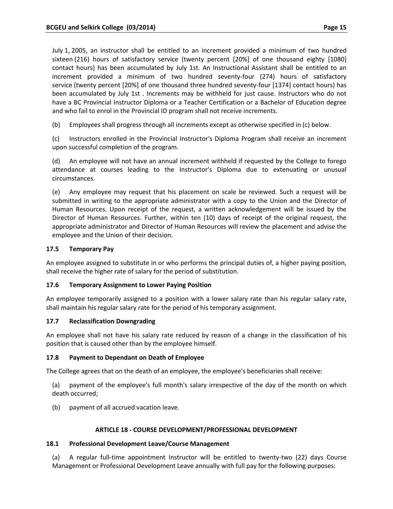July 1, 2005, an instructor shall be entitled to an increment provided a minimum of two hundred sixteen (216) hours of satisfactory service (twenty percent [20%] of one thousand eighty [1080] contact hours) has been accumulated by July 1st. An Instructional Assistant shall be entitled to an increment provided a minimum of two hundred seventy-four (274) hours of satisfactory service (twenty percent [20%] of one thousand three hundred seventy-four [1374] contact hours) has been accumulated by July 1st . Increments may be withheld for just cause. Instructors who do not have a BC Provincial Instructor Diploma or a Teacher Certification or a Bachelor of Education degree and who fail to enrol in the Provincial ID program shall not receive increments.

(b) Employees shall progress through all increments except as otherwise specified in (c) below.

(c) Instructors enrolled in the Provincial Instructor's Diploma Program shall receive an increment upon successful completion of the program.

(d) An employee will not have an annual increment withheld if requested by the College to forego attendance at courses leading to the Instructor's Diploma due to extenuating or unusual circumstances.

(e) Any employee may request that his placement on scale be reviewed. Such a request will be submitted in writing to the appropriate administrator with a copy to the Union and the Director of Human Resources. Upon receipt of the request, a written acknowledgement will be issued by the Director of Human Resources. Further, within ten (10) days of receipt of the original request, the appropriate administrator and Director of Human Resources will review the placement and advise the employee and the Union of their decision.

# **17.5 Temporary Pay**

An employee assigned to substitute in or who performs the principal duties of, a higher paying position, shall receive the higher rate of salary for the period of substitution.

# **17.6 Temporary Assignment to Lower Paying Position**

An employee temporarily assigned to a position with a lower salary rate than his regular salary rate, shall maintain his regular salary rate for the period of his temporary assignment.

# **17.7 Reclassification Downgrading**

An employee shall not have his salary rate reduced by reason of a change in the classification of his position that is caused other than by the employee himself.

# **17.8 Payment to Dependant on Death of Employee**

The College agrees that on the death of an employee, the employee's beneficiaries shall receive:

(a) payment of the employee's full month's salary irrespective of the day of the month on which death occurred;

(b) payment of all accrued vacation leave.

# **ARTICLE 18 - COURSE DEVELOPMENT/PROFESSIONAL DEVELOPMENT**

# **18.1 Professional Development Leave/Course Management**

(a) A regular full-time appointment Instructor will be entitled to twenty-two (22) days Course Management or Professional Development Leave annually with full pay for the following purposes: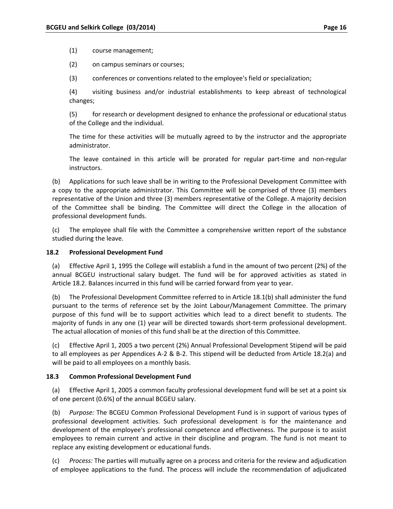(1) course management;

(2) on campus seminars or courses;

(3) conferences or conventions related to the employee's field or specialization;

(4) visiting business and/or industrial establishments to keep abreast of technological changes;

(5) for research or development designed to enhance the professional or educational status of the College and the individual.

The time for these activities will be mutually agreed to by the instructor and the appropriate administrator.

The leave contained in this article will be prorated for regular part-time and non-regular instructors.

(b) Applications for such leave shall be in writing to the Professional Development Committee with a copy to the appropriate administrator. This Committee will be comprised of three (3) members representative of the Union and three (3) members representative of the College. A majority decision of the Committee shall be binding. The Committee will direct the College in the allocation of professional development funds.

(c) The employee shall file with the Committee a comprehensive written report of the substance studied during the leave.

#### **18.2 Professional Development Fund**

(a) Effective April 1, 1995 the College will establish a fund in the amount of two percent (2%) of the annual BCGEU instructional salary budget. The fund will be for approved activities as stated in Article 18.2. Balances incurred in this fund will be carried forward from year to year.

(b) The Professional Development Committee referred to in Article 18.1(b) shall administer the fund pursuant to the terms of reference set by the Joint Labour/Management Committee. The primary purpose of this fund will be to support activities which lead to a direct benefit to students. The majority of funds in any one (1) year will be directed towards short-term professional development. The actual allocation of monies of this fund shall be at the direction of this Committee.

(c) Effective April 1, 2005 a two percent (2%) Annual Professional Development Stipend will be paid to all employees as per Appendices A-2 & B-2. This stipend will be deducted from Article 18.2(a) and will be paid to all employees on a monthly basis.

#### **18.3 Common Professional Development Fund**

(a) Effective April 1, 2005 a common faculty professional development fund will be set at a point six of one percent (0.6%) of the annual BCGEU salary.

(b) *Purpose:* The BCGEU Common Professional Development Fund is in support of various types of professional development activities. Such professional development is for the maintenance and development of the employee's professional competence and effectiveness. The purpose is to assist employees to remain current and active in their discipline and program. The fund is not meant to replace any existing development or educational funds.

(c) *Process:* The parties will mutually agree on a process and criteria for the review and adjudication of employee applications to the fund. The process will include the recommendation of adjudicated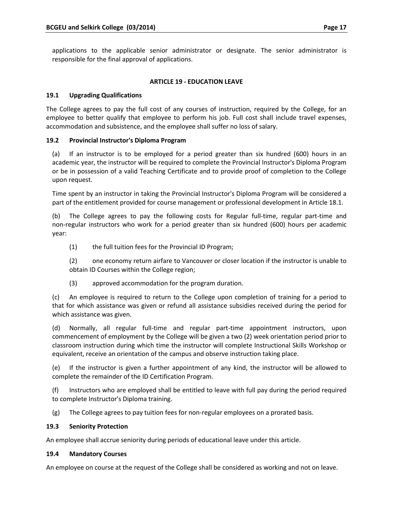applications to the applicable senior administrator or designate. The senior administrator is responsible for the final approval of applications.

### **ARTICLE 19 - EDUCATION LEAVE**

#### **19.1 Upgrading Qualifications**

The College agrees to pay the full cost of any courses of instruction, required by the College, for an employee to better qualify that employee to perform his job. Full cost shall include travel expenses, accommodation and subsistence, and the employee shall suffer no loss of salary.

#### **19.2 Provincial Instructor's Diploma Program**

(a) If an instructor is to be employed for a period greater than six hundred (600) hours in an academic year, the instructor will be required to complete the Provincial Instructor's Diploma Program or be in possession of a valid Teaching Certificate and to provide proof of completion to the College upon request.

Time spent by an instructor in taking the Provincial Instructor's Diploma Program will be considered a part of the entitlement provided for course management or professional development in Article 18.1.

(b) The College agrees to pay the following costs for Regular full-time, regular part-time and non-regular instructors who work for a period greater than six hundred (600) hours per academic year:

(1) the full tuition fees for the Provincial ID Program;

(2) one economy return airfare to Vancouver or closer location if the instructor is unable to obtain ID Courses within the College region;

(3) approved accommodation for the program duration.

(c) An employee is required to return to the College upon completion of training for a period to that for which assistance was given or refund all assistance subsidies received during the period for which assistance was given.

(d) Normally, all regular full-time and regular part-time appointment instructors, upon commencement of employment by the College will be given a two (2) week orientation period prior to classroom instruction during which time the instructor will complete Instructional Skills Workshop or equivalent, receive an orientation of the campus and observe instruction taking place.

(e) If the instructor is given a further appointment of any kind, the instructor will be allowed to complete the remainder of the ID Certification Program.

(f) Instructors who are employed shall be entitled to leave with full pay during the period required to complete Instructor's Diploma training.

(g) The College agrees to pay tuition fees for non-regular employees on a prorated basis.

# **19.3 Seniority Protection**

An employee shall accrue seniority during periods of educational leave under this article.

#### **19.4 Mandatory Courses**

An employee on course at the request of the College shall be considered as working and not on leave.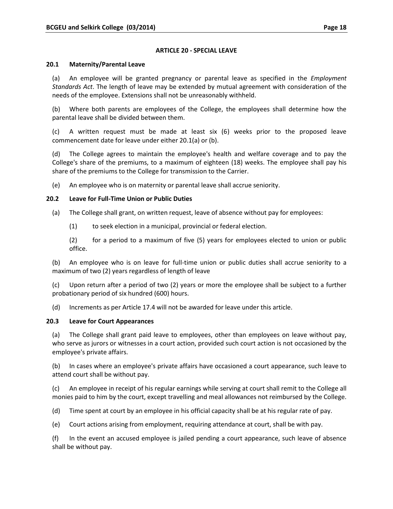### **ARTICLE 20 - SPECIAL LEAVE**

#### **20.1 Maternity/Parental Leave**

(a) An employee will be granted pregnancy or parental leave as specified in the *Employment Standards Act*. The length of leave may be extended by mutual agreement with consideration of the needs of the employee. Extensions shall not be unreasonably withheld.

(b) Where both parents are employees of the College, the employees shall determine how the parental leave shall be divided between them.

(c) A written request must be made at least six (6) weeks prior to the proposed leave commencement date for leave under either 20.1(a) or (b).

(d) The College agrees to maintain the employee's health and welfare coverage and to pay the College's share of the premiums, to a maximum of eighteen (18) weeks. The employee shall pay his share of the premiums to the College for transmission to the Carrier.

(e) An employee who is on maternity or parental leave shall accrue seniority.

# **20.2 Leave for Full-Time Union or Public Duties**

- (a) The College shall grant, on written request, leave of absence without pay for employees:
	- (1) to seek election in a municipal, provincial or federal election.

(2) for a period to a maximum of five (5) years for employees elected to union or public office.

(b) An employee who is on leave for full-time union or public duties shall accrue seniority to a maximum of two (2) years regardless of length of leave

(c) Upon return after a period of two (2) years or more the employee shall be subject to a further probationary period of six hundred (600) hours.

(d) Increments as per Article 17.4 will not be awarded for leave under this article.

# **20.3 Leave for Court Appearances**

(a) The College shall grant paid leave to employees, other than employees on leave without pay, who serve as jurors or witnesses in a court action, provided such court action is not occasioned by the employee's private affairs.

(b) In cases where an employee's private affairs have occasioned a court appearance, such leave to attend court shall be without pay.

(c) An employee in receipt of his regular earnings while serving at court shall remit to the College all monies paid to him by the court, except travelling and meal allowances not reimbursed by the College.

(d) Time spent at court by an employee in his official capacity shall be at his regular rate of pay.

(e) Court actions arising from employment, requiring attendance at court, shall be with pay.

(f) In the event an accused employee is jailed pending a court appearance, such leave of absence shall be without pay.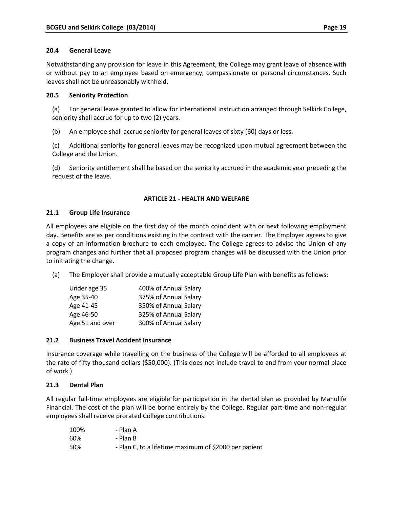Notwithstanding any provision for leave in this Agreement, the College may grant leave of absence with or without pay to an employee based on emergency, compassionate or personal circumstances. Such leaves shall not be unreasonably withheld.

# **20.5 Seniority Protection**

(a) For general leave granted to allow for international instruction arranged through Selkirk College, seniority shall accrue for up to two (2) years.

(b) An employee shall accrue seniority for general leaves of sixty (60) days or less.

(c) Additional seniority for general leaves may be recognized upon mutual agreement between the College and the Union.

(d) Seniority entitlement shall be based on the seniority accrued in the academic year preceding the request of the leave.

# **ARTICLE 21 - HEALTH AND WELFARE**

# **21.1 Group Life Insurance**

All employees are eligible on the first day of the month coincident with or next following employment day. Benefits are as per conditions existing in the contract with the carrier. The Employer agrees to give a copy of an information brochure to each employee. The College agrees to advise the Union of any program changes and further that all proposed program changes will be discussed with the Union prior to initiating the change.

(a) The Employer shall provide a mutually acceptable Group Life Plan with benefits as follows:

| Under age 35    | 400% of Annual Salary |
|-----------------|-----------------------|
| Age 35-40       | 375% of Annual Salary |
| Age 41-45       | 350% of Annual Salary |
| Age 46-50       | 325% of Annual Salary |
| Age 51 and over | 300% of Annual Salary |

# **21.2 Business Travel Accident Insurance**

Insurance coverage while travelling on the business of the College will be afforded to all employees at the rate of fifty thousand dollars (\$50,000). (This does not include travel to and from your normal place of work.)

# **21.3 Dental Plan**

All regular full-time employees are eligible for participation in the dental plan as provided by Manulife Financial. The cost of the plan will be borne entirely by the College. Regular part-time and non-regular employees shall receive prorated College contributions.

| 100% | - Plan A                                              |
|------|-------------------------------------------------------|
| 60%  | - Plan B                                              |
| 50%  | - Plan C, to a lifetime maximum of \$2000 per patient |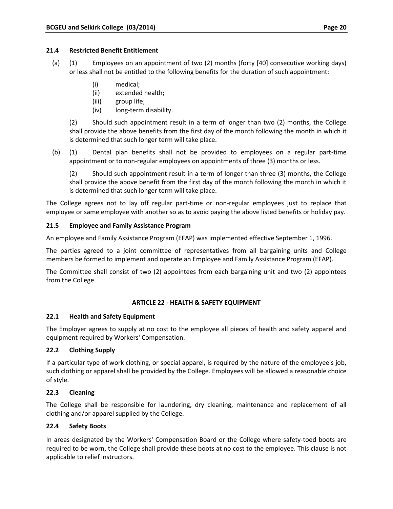# **21.4 Restricted Benefit Entitlement**

- (a) (1) Employees on an appointment of two (2) months (forty [40] consecutive working days) or less shall not be entitled to the following benefits for the duration of such appointment:
	- (i) medical;
	- (ii) extended health;
	- (iii) group life;
	- (iv) long-term disability.

(2) Should such appointment result in a term of longer than two (2) months, the College shall provide the above benefits from the first day of the month following the month in which it is determined that such longer term will take place.

(b) (1) Dental plan benefits shall not be provided to employees on a regular part-time appointment or to non-regular employees on appointments of three (3) months or less.

(2) Should such appointment result in a term of longer than three (3) months, the College shall provide the above benefit from the first day of the month following the month in which it is determined that such longer term will take place.

The College agrees not to lay off regular part-time or non-regular employees just to replace that employee or same employee with another so as to avoid paying the above listed benefits or holiday pay.

# **21.5 Employee and Family Assistance Program**

An employee and Family Assistance Program (EFAP) was implemented effective September 1, 1996.

The parties agreed to a joint committee of representatives from all bargaining units and College members be formed to implement and operate an Employee and Family Assistance Program (EFAP).

The Committee shall consist of two (2) appointees from each bargaining unit and two (2) appointees from the College.

# **ARTICLE 22 - HEALTH & SAFETY EQUIPMENT**

# **22.1 Health and Safety Equipment**

The Employer agrees to supply at no cost to the employee all pieces of health and safety apparel and equipment required by Workers' Compensation.

# **22.2 Clothing Supply**

If a particular type of work clothing, or special apparel, is required by the nature of the employee's job, such clothing or apparel shall be provided by the College. Employees will be allowed a reasonable choice of style.

# **22.3 Cleaning**

The College shall be responsible for laundering, dry cleaning, maintenance and replacement of all clothing and/or apparel supplied by the College.

# **22.4 Safety Boots**

In areas designated by the Workers' Compensation Board or the College where safety-toed boots are required to be worn, the College shall provide these boots at no cost to the employee. This clause is not applicable to relief instructors.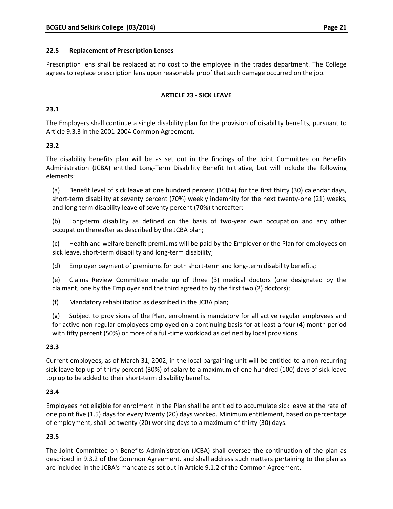#### **22.5 Replacement of Prescription Lenses**

Prescription lens shall be replaced at no cost to the employee in the trades department. The College agrees to replace prescription lens upon reasonable proof that such damage occurred on the job.

# **ARTICLE 23 - SICK LEAVE**

# **23.1**

The Employers shall continue a single disability plan for the provision of disability benefits, pursuant to Article 9.3.3 in the 2001-2004 Common Agreement.

# **23.2**

The disability benefits plan will be as set out in the findings of the Joint Committee on Benefits Administration (JCBA) entitled Long-Term Disability Benefit Initiative, but will include the following elements:

(a) Benefit level of sick leave at one hundred percent (100%) for the first thirty (30) calendar days, short-term disability at seventy percent (70%) weekly indemnity for the next twenty-one (21) weeks, and long-term disability leave of seventy percent (70%) thereafter;

(b) Long-term disability as defined on the basis of two-year own occupation and any other occupation thereafter as described by the JCBA plan;

(c) Health and welfare benefit premiums will be paid by the Employer or the Plan for employees on sick leave, short-term disability and long-term disability;

(d) Employer payment of premiums for both short-term and long-term disability benefits;

(e) Claims Review Committee made up of three (3) medical doctors (one designated by the claimant, one by the Employer and the third agreed to by the first two (2) doctors);

(f) Mandatory rehabilitation as described in the JCBA plan;

(g) Subject to provisions of the Plan, enrolment is mandatory for all active regular employees and for active non-regular employees employed on a continuing basis for at least a four (4) month period with fifty percent (50%) or more of a full-time workload as defined by local provisions.

# **23.3**

Current employees, as of March 31, 2002, in the local bargaining unit will be entitled to a non-recurring sick leave top up of thirty percent (30%) of salary to a maximum of one hundred (100) days of sick leave top up to be added to their short-term disability benefits.

# **23.4**

Employees not eligible for enrolment in the Plan shall be entitled to accumulate sick leave at the rate of one point five (1.5) days for every twenty (20) days worked. Minimum entitlement, based on percentage of employment, shall be twenty (20) working days to a maximum of thirty (30) days.

# **23.5**

The Joint Committee on Benefits Administration (JCBA) shall oversee the continuation of the plan as described in 9.3.2 of the Common Agreement. and shall address such matters pertaining to the plan as are included in the JCBA's mandate as set out in Article 9.1.2 of the Common Agreement.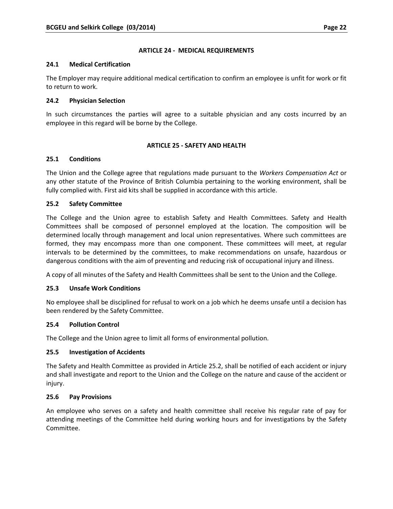### **ARTICLE 24 - MEDICAL REQUIREMENTS**

#### **24.1 Medical Certification**

The Employer may require additional medical certification to confirm an employee is unfit for work or fit to return to work.

### **24.2 Physician Selection**

In such circumstances the parties will agree to a suitable physician and any costs incurred by an employee in this regard will be borne by the College.

# **ARTICLE 25 - SAFETY AND HEALTH**

#### **25.1 Conditions**

The Union and the College agree that regulations made pursuant to the *Workers Compensation Act* or any other statute of the Province of British Columbia pertaining to the working environment, shall be fully complied with. First aid kits shall be supplied in accordance with this article.

#### **25.2 Safety Committee**

The College and the Union agree to establish Safety and Health Committees. Safety and Health Committees shall be composed of personnel employed at the location. The composition will be determined locally through management and local union representatives. Where such committees are formed, they may encompass more than one component. These committees will meet, at regular intervals to be determined by the committees, to make recommendations on unsafe, hazardous or dangerous conditions with the aim of preventing and reducing risk of occupational injury and illness.

A copy of all minutes of the Safety and Health Committees shall be sent to the Union and the College.

# **25.3 Unsafe Work Conditions**

No employee shall be disciplined for refusal to work on a job which he deems unsafe until a decision has been rendered by the Safety Committee.

# **25.4 Pollution Control**

The College and the Union agree to limit all forms of environmental pollution.

# **25.5 Investigation of Accidents**

The Safety and Health Committee as provided in Article 25.2, shall be notified of each accident or injury and shall investigate and report to the Union and the College on the nature and cause of the accident or injury.

# **25.6 Pay Provisions**

An employee who serves on a safety and health committee shall receive his regular rate of pay for attending meetings of the Committee held during working hours and for investigations by the Safety Committee.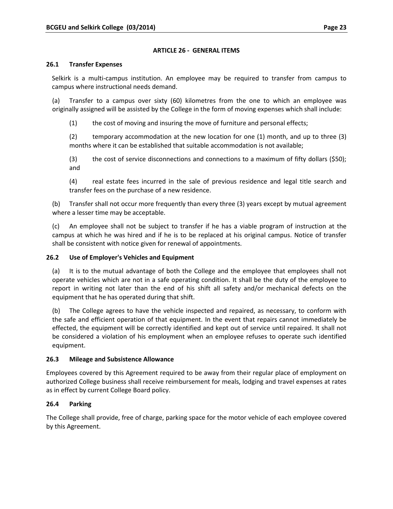# **ARTICLE 26 - GENERAL ITEMS**

#### **26.1 Transfer Expenses**

Selkirk is a multi-campus institution. An employee may be required to transfer from campus to campus where instructional needs demand.

(a) Transfer to a campus over sixty (60) kilometres from the one to which an employee was originally assigned will be assisted by the College in the form of moving expenses which shall include:

(1) the cost of moving and insuring the move of furniture and personal effects;

(2) temporary accommodation at the new location for one (1) month, and up to three (3) months where it can be established that suitable accommodation is not available;

(3) the cost of service disconnections and connections to a maximum of fifty dollars (\$50); and

(4) real estate fees incurred in the sale of previous residence and legal title search and transfer fees on the purchase of a new residence.

(b) Transfer shall not occur more frequently than every three (3) years except by mutual agreement where a lesser time may be acceptable.

(c) An employee shall not be subject to transfer if he has a viable program of instruction at the campus at which he was hired and if he is to be replaced at his original campus. Notice of transfer shall be consistent with notice given for renewal of appointments.

# **26.2 Use of Employer's Vehicles and Equipment**

(a) It is to the mutual advantage of both the College and the employee that employees shall not operate vehicles which are not in a safe operating condition. It shall be the duty of the employee to report in writing not later than the end of his shift all safety and/or mechanical defects on the equipment that he has operated during that shift.

(b) The College agrees to have the vehicle inspected and repaired, as necessary, to conform with the safe and efficient operation of that equipment. In the event that repairs cannot immediately be effected, the equipment will be correctly identified and kept out of service until repaired. It shall not be considered a violation of his employment when an employee refuses to operate such identified equipment.

# **26.3 Mileage and Subsistence Allowance**

Employees covered by this Agreement required to be away from their regular place of employment on authorized College business shall receive reimbursement for meals, lodging and travel expenses at rates as in effect by current College Board policy.

# **26.4 Parking**

The College shall provide, free of charge, parking space for the motor vehicle of each employee covered by this Agreement.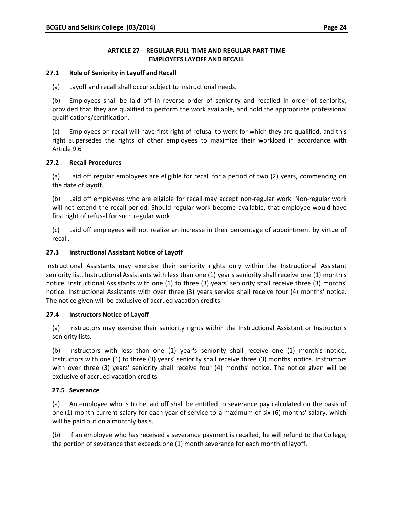# **ARTICLE 27 - REGULAR FULL-TIME AND REGULAR PART-TIME EMPLOYEES LAYOFF AND RECALL**

### **27.1 Role of Seniority in Layoff and Recall**

(a) Layoff and recall shall occur subject to instructional needs.

(b) Employees shall be laid off in reverse order of seniority and recalled in order of seniority, provided that they are qualified to perform the work available, and hold the appropriate professional qualifications/certification.

(c) Employees on recall will have first right of refusal to work for which they are qualified, and this right supersedes the rights of other employees to maximize their workload in accordance with Article 9.6

#### **27.2 Recall Procedures**

(a) Laid off regular employees are eligible for recall for a period of two (2) years, commencing on the date of layoff.

(b) Laid off employees who are eligible for recall may accept non-regular work. Non-regular work will not extend the recall period. Should regular work become available, that employee would have first right of refusal for such regular work.

(c) Laid off employees will not realize an increase in their percentage of appointment by virtue of recall.

#### **27.3 Instructional Assistant Notice of Layoff**

Instructional Assistants may exercise their seniority rights only within the Instructional Assistant seniority list. Instructional Assistants with less than one (1) year's seniority shall receive one (1) month's notice. Instructional Assistants with one (1) to three (3) years' seniority shall receive three (3) months' notice. Instructional Assistants with over three (3) years service shall receive four (4) months' notice. The notice given will be exclusive of accrued vacation credits.

#### **27.4 Instructors Notice of Layoff**

(a) Instructors may exercise their seniority rights within the Instructional Assistant or Instructor's seniority lists.

(b) Instructors with less than one (1) year's seniority shall receive one (1) month's notice. Instructors with one (1) to three (3) years' seniority shall receive three (3) months' notice. Instructors with over three (3) years' seniority shall receive four (4) months' notice. The notice given will be exclusive of accrued vacation credits.

# **27.5 Severance**

(a) An employee who is to be laid off shall be entitled to severance pay calculated on the basis of one (1) month current salary for each year of service to a maximum of six (6) months' salary, which will be paid out on a monthly basis.

(b) If an employee who has received a severance payment is recalled, he will refund to the College, the portion of severance that exceeds one (1) month severance for each month of layoff.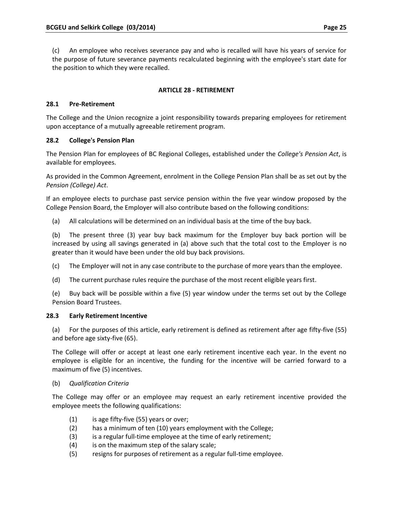(c) An employee who receives severance pay and who is recalled will have his years of service for the purpose of future severance payments recalculated beginning with the employee's start date for the position to which they were recalled.

# **ARTICLE 28 - RETIREMENT**

# **28.1 Pre-Retirement**

The College and the Union recognize a joint responsibility towards preparing employees for retirement upon acceptance of a mutually agreeable retirement program.

# **28.2 College's Pension Plan**

The Pension Plan for employees of BC Regional Colleges, established under the *College's Pension Act*, is available for employees.

As provided in the Common Agreement, enrolment in the College Pension Plan shall be as set out by the *Pension (College) Act*.

If an employee elects to purchase past service pension within the five year window proposed by the College Pension Board, the Employer will also contribute based on the following conditions:

(a) All calculations will be determined on an individual basis at the time of the buy back.

(b) The present three (3) year buy back maximum for the Employer buy back portion will be increased by using all savings generated in (a) above such that the total cost to the Employer is no greater than it would have been under the old buy back provisions.

(c) The Employer will not in any case contribute to the purchase of more years than the employee.

(d) The current purchase rules require the purchase of the most recent eligible years first.

(e) Buy back will be possible within a five (5) year window under the terms set out by the College Pension Board Trustees.

# **28.3 Early Retirement Incentive**

(a) For the purposes of this article, early retirement is defined as retirement after age fifty-five (55) and before age sixty-five (65).

The College will offer or accept at least one early retirement incentive each year. In the event no employee is eligible for an incentive, the funding for the incentive will be carried forward to a maximum of five (5) incentives.

# (b) *Qualification Criteria*

The College may offer or an employee may request an early retirement incentive provided the employee meets the following qualifications:

- (1) is age fifty-five (55) years or over;
- (2) has a minimum of ten (10) years employment with the College;
- (3) is a regular full-time employee at the time of early retirement;
- (4) is on the maximum step of the salary scale;
- (5) resigns for purposes of retirement as a regular full-time employee.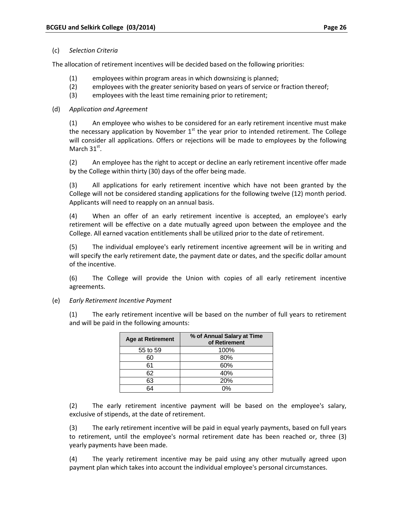#### (c) *Selection Criteria*

The allocation of retirement incentives will be decided based on the following priorities:

- (1) employees within program areas in which downsizing is planned;
- (2) employees with the greater seniority based on years of service or fraction thereof;
- (3) employees with the least time remaining prior to retirement;

# (d) *Application and Agreement*

(1) An employee who wishes to be considered for an early retirement incentive must make the necessary application by November  $1<sup>st</sup>$  the year prior to intended retirement. The College will consider all applications. Offers or rejections will be made to employees by the following March  $31<sup>st</sup>$ .

(2) An employee has the right to accept or decline an early retirement incentive offer made by the College within thirty (30) days of the offer being made.

(3) All applications for early retirement incentive which have not been granted by the College will not be considered standing applications for the following twelve (12) month period. Applicants will need to reapply on an annual basis.

(4) When an offer of an early retirement incentive is accepted, an employee's early retirement will be effective on a date mutually agreed upon between the employee and the College. All earned vacation entitlements shall be utilized prior to the date of retirement.

(5) The individual employee's early retirement incentive agreement will be in writing and will specify the early retirement date, the payment date or dates, and the specific dollar amount of the incentive.

(6) The College will provide the Union with copies of all early retirement incentive agreements.

# (e) *Early Retirement Incentive Payment*

(1) The early retirement incentive will be based on the number of full years to retirement and will be paid in the following amounts:

| <b>Age at Retirement</b> | % of Annual Salary at Time<br>of Retirement |  |  |  |
|--------------------------|---------------------------------------------|--|--|--|
| 55 to 59                 | 100%                                        |  |  |  |
| 60                       | 80%                                         |  |  |  |
| 61                       | 60%                                         |  |  |  |
| 62                       | 40%                                         |  |  |  |
| 63                       | 20%                                         |  |  |  |
|                          | ሰ%                                          |  |  |  |

(2) The early retirement incentive payment will be based on the employee's salary, exclusive of stipends, at the date of retirement.

(3) The early retirement incentive will be paid in equal yearly payments, based on full years to retirement, until the employee's normal retirement date has been reached or, three (3) yearly payments have been made.

(4) The yearly retirement incentive may be paid using any other mutually agreed upon payment plan which takes into account the individual employee's personal circumstances.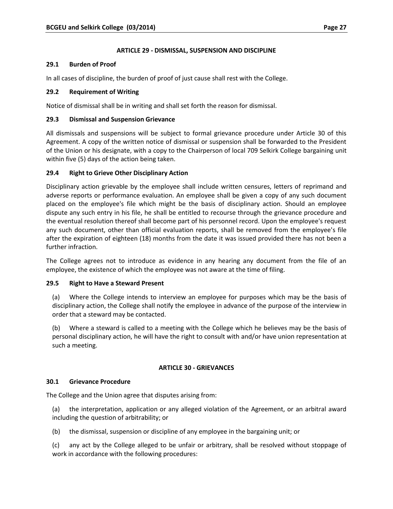### **ARTICLE 29 - DISMISSAL, SUSPENSION AND DISCIPLINE**

#### **29.1 Burden of Proof**

In all cases of discipline, the burden of proof of just cause shall rest with the College.

#### **29.2 Requirement of Writing**

Notice of dismissal shall be in writing and shall set forth the reason for dismissal.

#### **29.3 Dismissal and Suspension Grievance**

All dismissals and suspensions will be subject to formal grievance procedure under Article 30 of this Agreement. A copy of the written notice of dismissal or suspension shall be forwarded to the President of the Union or his designate, with a copy to the Chairperson of local 709 Selkirk College bargaining unit within five (5) days of the action being taken.

#### **29.4 Right to Grieve Other Disciplinary Action**

Disciplinary action grievable by the employee shall include written censures, letters of reprimand and adverse reports or performance evaluation. An employee shall be given a copy of any such document placed on the employee's file which might be the basis of disciplinary action. Should an employee dispute any such entry in his file, he shall be entitled to recourse through the grievance procedure and the eventual resolution thereof shall become part of his personnel record. Upon the employee's request any such document, other than official evaluation reports, shall be removed from the employee's file after the expiration of eighteen (18) months from the date it was issued provided there has not been a further infraction.

The College agrees not to introduce as evidence in any hearing any document from the file of an employee, the existence of which the employee was not aware at the time of filing.

#### **29.5 Right to Have a Steward Present**

(a) Where the College intends to interview an employee for purposes which may be the basis of disciplinary action, the College shall notify the employee in advance of the purpose of the interview in order that a steward may be contacted.

(b) Where a steward is called to a meeting with the College which he believes may be the basis of personal disciplinary action, he will have the right to consult with and/or have union representation at such a meeting.

#### **ARTICLE 30 - GRIEVANCES**

#### **30.1 Grievance Procedure**

The College and the Union agree that disputes arising from:

(a) the interpretation, application or any alleged violation of the Agreement, or an arbitral award including the question of arbitrability; or

(b) the dismissal, suspension or discipline of any employee in the bargaining unit; or

(c) any act by the College alleged to be unfair or arbitrary, shall be resolved without stoppage of work in accordance with the following procedures: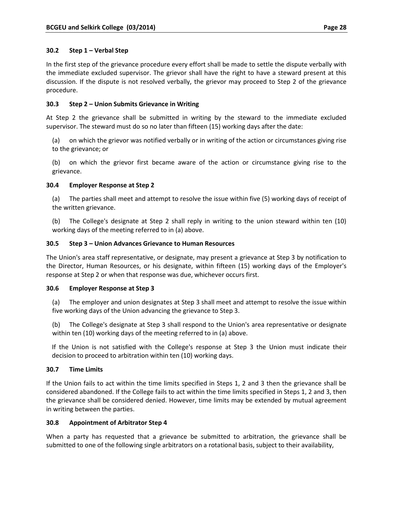In the first step of the grievance procedure every effort shall be made to settle the dispute verbally with the immediate excluded supervisor. The grievor shall have the right to have a steward present at this discussion. If the dispute is not resolved verbally, the grievor may proceed to Step 2 of the grievance procedure.

# **30.3 Step 2 – Union Submits Grievance in Writing**

At Step 2 the grievance shall be submitted in writing by the steward to the immediate excluded supervisor. The steward must do so no later than fifteen (15) working days after the date:

(a) on which the grievor was notified verbally or in writing of the action or circumstances giving rise to the grievance; or

(b) on which the grievor first became aware of the action or circumstance giving rise to the grievance.

# **30.4 Employer Response at Step 2**

(a) The parties shall meet and attempt to resolve the issue within five (5) working days of receipt of the written grievance.

(b) The College's designate at Step 2 shall reply in writing to the union steward within ten (10) working days of the meeting referred to in (a) above.

# **30.5 Step 3 – Union Advances Grievance to Human Resources**

The Union's area staff representative, or designate, may present a grievance at Step 3 by notification to the Director, Human Resources, or his designate, within fifteen (15) working days of the Employer's response at Step 2 or when that response was due, whichever occurs first.

# **30.6 Employer Response at Step 3**

(a) The employer and union designates at Step 3 shall meet and attempt to resolve the issue within five working days of the Union advancing the grievance to Step 3.

(b) The College's designate at Step 3 shall respond to the Union's area representative or designate within ten (10) working days of the meeting referred to in (a) above.

If the Union is not satisfied with the College's response at Step 3 the Union must indicate their decision to proceed to arbitration within ten (10) working days.

# **30.7 Time Limits**

If the Union fails to act within the time limits specified in Steps 1, 2 and 3 then the grievance shall be considered abandoned. If the College fails to act within the time limits specified in Steps 1, 2 and 3, then the grievance shall be considered denied. However, time limits may be extended by mutual agreement in writing between the parties.

# **30.8 Appointment of Arbitrator Step 4**

When a party has requested that a grievance be submitted to arbitration, the grievance shall be submitted to one of the following single arbitrators on a rotational basis, subject to their availability,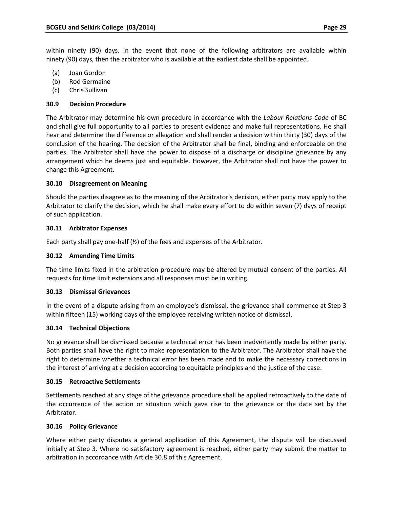within ninety (90) days. In the event that none of the following arbitrators are available within ninety (90) days, then the arbitrator who is available at the earliest date shall be appointed.

- (a) Joan Gordon
- (b) Rod Germaine
- (c) Chris Sullivan

#### **30.9 Decision Procedure**

The Arbitrator may determine his own procedure in accordance with the *Labour Relations Code* of BC and shall give full opportunity to all parties to present evidence and make full representations. He shall hear and determine the difference or allegation and shall render a decision within thirty (30) days of the conclusion of the hearing. The decision of the Arbitrator shall be final, binding and enforceable on the parties. The Arbitrator shall have the power to dispose of a discharge or discipline grievance by any arrangement which he deems just and equitable. However, the Arbitrator shall not have the power to change this Agreement.

#### **30.10 Disagreement on Meaning**

Should the parties disagree as to the meaning of the Arbitrator's decision, either party may apply to the Arbitrator to clarify the decision, which he shall make every effort to do within seven (7) days of receipt of such application.

#### **30.11 Arbitrator Expenses**

Each party shall pay one-half  $(\frac{1}{2})$  of the fees and expenses of the Arbitrator.

#### **30.12 Amending Time Limits**

The time limits fixed in the arbitration procedure may be altered by mutual consent of the parties. All requests for time limit extensions and all responses must be in writing.

#### **30.13 Dismissal Grievances**

In the event of a dispute arising from an employee's dismissal, the grievance shall commence at Step 3 within fifteen (15) working days of the employee receiving written notice of dismissal.

#### **30.14 Technical Objections**

No grievance shall be dismissed because a technical error has been inadvertently made by either party. Both parties shall have the right to make representation to the Arbitrator. The Arbitrator shall have the right to determine whether a technical error has been made and to make the necessary corrections in the interest of arriving at a decision according to equitable principles and the justice of the case.

#### **30.15 Retroactive Settlements**

Settlements reached at any stage of the grievance procedure shall be applied retroactively to the date of the occurrence of the action or situation which gave rise to the grievance or the date set by the Arbitrator.

#### **30.16 Policy Grievance**

Where either party disputes a general application of this Agreement, the dispute will be discussed initially at Step 3. Where no satisfactory agreement is reached, either party may submit the matter to arbitration in accordance with Article 30.8 of this Agreement.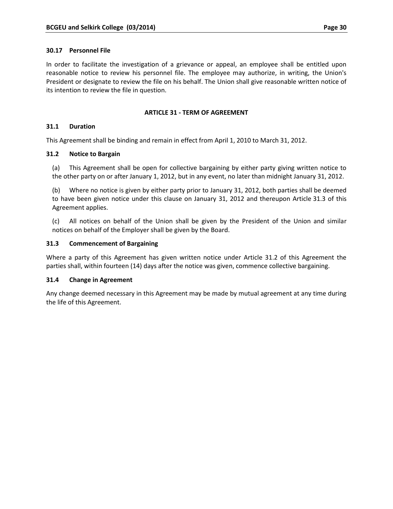#### **30.17 Personnel File**

In order to facilitate the investigation of a grievance or appeal, an employee shall be entitled upon reasonable notice to review his personnel file. The employee may authorize, in writing, the Union's President or designate to review the file on his behalf. The Union shall give reasonable written notice of its intention to review the file in question.

#### **ARTICLE 31 - TERM OF AGREEMENT**

#### **31.1 Duration**

This Agreement shall be binding and remain in effect from April 1, 2010 to March 31, 2012.

#### **31.2 Notice to Bargain**

(a) This Agreement shall be open for collective bargaining by either party giving written notice to the other party on or after January 1, 2012, but in any event, no later than midnight January 31, 2012.

(b) Where no notice is given by either party prior to January 31, 2012, both parties shall be deemed to have been given notice under this clause on January 31, 2012 and thereupon Article 31.3 of this Agreement applies.

(c) All notices on behalf of the Union shall be given by the President of the Union and similar notices on behalf of the Employer shall be given by the Board.

#### **31.3 Commencement of Bargaining**

Where a party of this Agreement has given written notice under Article 31.2 of this Agreement the parties shall, within fourteen (14) days after the notice was given, commence collective bargaining.

# **31.4 Change in Agreement**

Any change deemed necessary in this Agreement may be made by mutual agreement at any time during the life of this Agreement.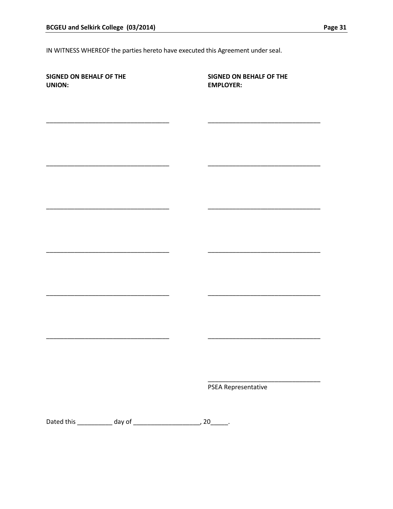IN WITNESS WHEREOF the parties hereto have executed this Agreement under seal.

| <b>SIGNED ON BEHALF OF THE</b><br>UNION: | <b>SIGNED ON BEHALF OF THE</b><br><b>EMPLOYER:</b> |
|------------------------------------------|----------------------------------------------------|
|                                          |                                                    |
|                                          |                                                    |
|                                          |                                                    |
|                                          |                                                    |
|                                          |                                                    |
|                                          |                                                    |
|                                          |                                                    |
|                                          |                                                    |
|                                          |                                                    |
|                                          |                                                    |
|                                          | PSEA Representative                                |
|                                          |                                                    |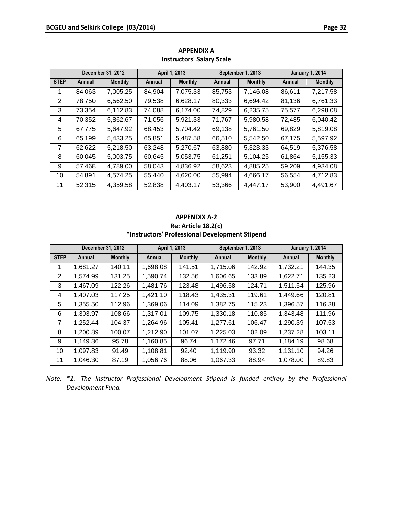|             | December 31, 2012 |                | April 1, 2013 |                | September 1, 2013 |                | <b>January 1, 2014</b> |                |
|-------------|-------------------|----------------|---------------|----------------|-------------------|----------------|------------------------|----------------|
| <b>STEP</b> | Annual            | <b>Monthly</b> | Annual        | <b>Monthly</b> | Annual            | <b>Monthly</b> | Annual                 | <b>Monthly</b> |
|             | 84,063            | 7,005.25       | 84,904        | 7,075.33       | 85,753            | 7,146.08       | 86,611                 | 7,217.58       |
| 2           | 78,750            | 6,562.50       | 79,538        | 6,628.17       | 80,333            | 6,694.42       | 81,136                 | 6,761.33       |
| 3           | 73,354            | 6,112.83       | 74,088        | 6,174.00       | 74,829            | 6,235.75       | 75,577                 | 6,298.08       |
| 4           | 70,352            | 5,862.67       | 71,056        | 5,921.33       | 71,767            | 5,980.58       | 72,485                 | 6,040.42       |
| 5           | 67,775            | 5,647.92       | 68,453        | 5,704.42       | 69,138            | 5,761.50       | 69,829                 | 5,819.08       |
| 6           | 65,199            | 5,433.25       | 65,851        | 5,487.58       | 66,510            | 5,542.50       | 67,175                 | 5,597.92       |
| 7           | 62,622            | 5,218.50       | 63,248        | 5,270.67       | 63,880            | 5,323.33       | 64,519                 | 5,376.58       |
| 8           | 60,045            | 5,003.75       | 60,645        | 5,053.75       | 61,251            | 5,104.25       | 61,864                 | 5,155.33       |
| 9           | 57,468            | 4,789.00       | 58,043        | 4,836.92       | 58,623            | 4,885.25       | 59,209                 | 4,934.08       |
| 10          | 54,891            | 4,574.25       | 55,440        | 4,620.00       | 55,994            | 4,666.17       | 56,554                 | 4,712.83       |
| 11          | 52,315            | 4,359.58       | 52,838        | 4,403.17       | 53,366            | 4,447.17       | 53,900                 | 4,491.67       |

# **APPENDIX A Instructors' Salary Scale**

# **APPENDIX A-2 Re: Article 18.2(c) \*Instructors' Professional Development Stipend**

|                | December 31, 2012        |        | April 1, 2013 |                | September 1, 2013 |                | <b>January 1, 2014</b> |                |
|----------------|--------------------------|--------|---------------|----------------|-------------------|----------------|------------------------|----------------|
| <b>STEP</b>    | <b>Monthly</b><br>Annual |        | Annual        | <b>Monthly</b> | Annual            | <b>Monthly</b> | Annual                 | <b>Monthly</b> |
| 1              | 1,681.27                 | 140.11 | 1,698.08      | 141.51         | 1,715.06          | 142.92         | 1,732.21               | 144.35         |
| $\overline{2}$ | 1,574.99                 | 131.25 | 1,590.74      | 132.56         | 1,606.65          | 133.89         | 1,622.71               | 135.23         |
| 3              | 1,467.09                 | 122.26 | 1,481.76      | 123.48         | 1,496.58          | 124.71         | 1,511.54               | 125.96         |
| 4              | 1,407.03                 | 117.25 | 1,421.10      | 118.43         | 1,435.31          | 119.61         | 1,449.66               | 120.81         |
| 5              | 1,355.50                 | 112.96 | 1,369.06      | 114.09         | 1,382.75          | 115.23         | 1,396.57               | 116.38         |
| 6              | 1,303.97                 | 108.66 | 1,317.01      | 109.75         | 1,330.18          | 110.85         | 1,343.48               | 111.96         |
| $\overline{7}$ | 1,252.44                 | 104.37 | 1,264.96      | 105.41         | 1,277.61          | 106.47         | 1,290.39               | 107.53         |
| 8              | 1,200.89                 | 100.07 | 1,212.90      | 101.07         | 1,225.03          | 102.09         | 1,237.28               | 103.11         |
| 9              | 1,149.36                 | 95.78  | 1,160.85      | 96.74          | 1,172.46          | 97.71          | 1,184.19               | 98.68          |
| 10             | 1,097.83                 | 91.49  | 1,108.81      | 92.40          | 1,119.90          | 93.32          | 1,131.10               | 94.26          |
| 11             | 1,046.30                 | 87.19  | 1,056.76      | 88.06          | 1,067.33          | 88.94          | 1,078.00               | 89.83          |

*Note: \*1. The Instructor Professional Development Stipend is funded entirely by the Professional Development Fund.*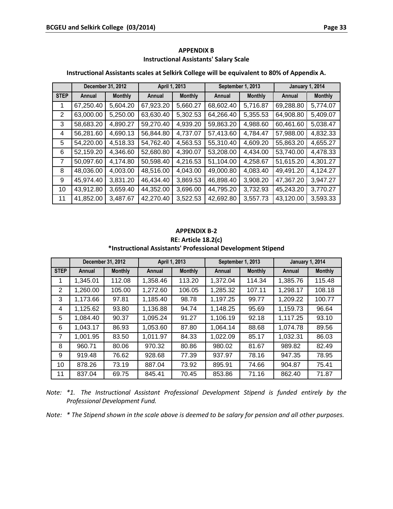| Instructional Assistants scales at Selkirk College will be equivalent to 80% of Appendix A. |                          |          |               |                |                   |                |                        |                |  |
|---------------------------------------------------------------------------------------------|--------------------------|----------|---------------|----------------|-------------------|----------------|------------------------|----------------|--|
|                                                                                             | December 31, 2012        |          | April 1, 2013 |                | September 1, 2013 |                | <b>January 1, 2014</b> |                |  |
| <b>STEP</b>                                                                                 | <b>Monthly</b><br>Annual |          | Annual        | <b>Monthly</b> | Annual            | <b>Monthly</b> | Annual                 | <b>Monthly</b> |  |
| 1                                                                                           | 67,250.40                | 5,604.20 | 67,923.20     | 5,660.27       | 68,602.40         | 5,716.87       | 69,288.80              | 5,774.07       |  |
| $\overline{2}$                                                                              | 63,000.00                | 5,250.00 | 63,630.40     | 5,302.53       | 64,266.40         | 5,355.53       | 64,908.80              | 5,409.07       |  |
| 3                                                                                           | 58,683.20                | 4,890.27 | 59,270.40     | 4,939.20       | 59,863.20         | 4,988.60       | 60,461.60              | 5,038.47       |  |
| 4                                                                                           | 56,281.60                | 4,690.13 | 56,844.80     | 4,737.07       | 57,413.60         | 4,784.47       | 57,988.00              | 4,832.33       |  |
| 5                                                                                           | 54,220.00                | 4,518.33 | 54,762.40     | 4,563.53       | 55,310.40         | 4,609.20       | 55,863.20              | 4,655.27       |  |
| 6                                                                                           | 52,159.20                | 4,346.60 | 52,680.80     | 4,390.07       | 53,208.00         | 4,434.00       | 53,740.00              | 4,478.33       |  |
| 7                                                                                           | 50,097.60                | 4,174.80 | 50,598.40     | 4,216.53       | 51,104.00         | 4,258.67       | 51,615.20              | 4,301.27       |  |
| 8                                                                                           | 48,036.00                | 4,003.00 | 48,516.00     | 4,043.00       | 49,000.80         | 4,083.40       | 49,491.20              | 4,124.27       |  |
| 9                                                                                           | 45,974.40                | 3,831.20 | 46,434.40     | 3,869.53       | 46,898.40         | 3,908.20       | 47,367.20              | 3,947.27       |  |
| 10                                                                                          | 43,912.80                | 3,659.40 | 44,352.00     | 3,696.00       | 44,795.20         | 3,732.93       | 45,243.20              | 3,770.27       |  |
| 11                                                                                          | 41,852.00                | 3,487.67 | 42,270.40     | 3,522.53       | 42,692.80         | 3,557.73       | 43,120.00              | 3,593.33       |  |

# **APPENDIX B Instructional Assistants' Salary Scale**

#### **Instructional Assistants scales at Selkirk College will be equivalent to 80% of Appendix A.**

#### **APPENDIX B-2**

**RE: Article 18.2(c)**

# **\*Instructional Assistants' Professional Development Stipend**

|             | December 31, 2012        |        | April 1, 2013 |                | September 1, 2013 |                | <b>January 1, 2014</b> |                |
|-------------|--------------------------|--------|---------------|----------------|-------------------|----------------|------------------------|----------------|
| <b>STEP</b> | <b>Monthly</b><br>Annual |        | Annual        | <b>Monthly</b> | Annual            | <b>Monthly</b> | Annual                 | <b>Monthly</b> |
| 1           | 1,345.01                 | 112.08 | 1,358.46      | 113.20         | 1,372.04          | 114.34         | 1,385.76               | 115.48         |
| 2           | 1,260.00                 | 105.00 | 1,272.60      | 106.05         | 1,285.32          | 107.11         | 1,298.17               | 108.18         |
| 3           | 1,173.66                 | 97.81  | 1,185.40      | 98.78          | 1,197.25          | 99.77          | 1,209.22               | 100.77         |
| 4           | 1,125.62                 | 93.80  | 1,136.88      | 94.74          | 1,148.25          | 95.69          | 1,159.73               | 96.64          |
| 5           | 1,084.40                 | 90.37  | 1,095.24      | 91.27          | 1,106.19          | 92.18          | 1,117.25               | 93.10          |
| 6           | 1,043.17                 | 86.93  | 1,053.60      | 87.80          | 1,064.14          | 88.68          | 1,074.78               | 89.56          |
| 7           | 1,001.95                 | 83.50  | 1,011.97      | 84.33          | 1,022.09          | 85.17          | 1,032.31               | 86.03          |
| 8           | 960.71                   | 80.06  | 970.32        | 80.86          | 980.02            | 81.67          | 989.82                 | 82.49          |
| 9           | 919.48                   | 76.62  | 928.68        | 77.39          | 937.97            | 78.16          | 947.35                 | 78.95          |
| 10          | 878.26                   | 73.19  | 887.04        | 73.92          | 895.91            | 74.66          | 904.87                 | 75.41          |
| 11          | 837.04                   | 69.75  | 845.41        | 70.45          | 853.86            | 71.16          | 862.40                 | 71.87          |

*Note: \*1. The Instructional Assistant Professional Development Stipend is funded entirely by the Professional Development Fund.*

*Note: \* The Stipend shown in the scale above is deemed to be salary for pension and all other purposes.*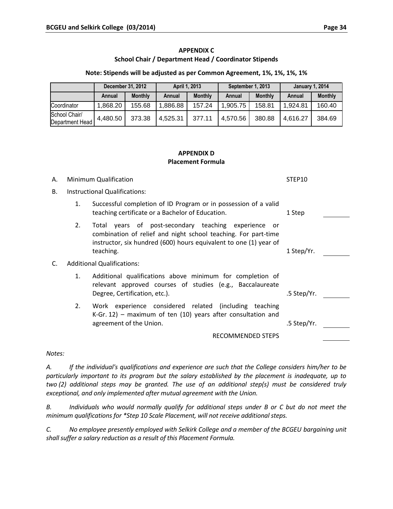# **APPENDIX C School Chair / Department Head / Coordinator Stipends**

**Note: Stipends will be adjusted as per Common Agreement, 1%, 1%, 1%, 1%**

|                                  | December 31, 2012 |                | April 1, 2013 |                | September 1, 2013 |                | <b>January 1, 2014</b> |                |
|----------------------------------|-------------------|----------------|---------------|----------------|-------------------|----------------|------------------------|----------------|
|                                  | Annual            | <b>Monthly</b> | Annual        | <b>Monthly</b> | Annual            | <b>Monthly</b> | Annual                 | <b>Monthly</b> |
| Coordinator                      | 1,868.20          | 155.68         | 886.88        | 157.24         | .905.75           | 158.81         | 1.924.81               | 160.40         |
| School Chair/<br>Department Head | 4.480.50          | 373.38         | 4,525.31      | 377.11         | 4,570.56          | 380.88         | 4.616.27               | 384.69         |

#### **APPENDIX D Placement Formula**

| А. |    | Minimum Qualification                                                                                                                                                                                         | STEP10      |  |
|----|----|---------------------------------------------------------------------------------------------------------------------------------------------------------------------------------------------------------------|-------------|--|
| В. |    | Instructional Qualifications:                                                                                                                                                                                 |             |  |
|    | 1. | Successful completion of ID Program or in possession of a valid<br>teaching certificate or a Bachelor of Education.                                                                                           | 1 Step      |  |
|    | 2. | Total years of post-secondary teaching experience<br>- or<br>combination of relief and night school teaching. For part-time<br>instructor, six hundred (600) hours equivalent to one (1) year of<br>teaching. | 1 Step/Yr.  |  |
| C. |    | <b>Additional Qualifications:</b>                                                                                                                                                                             |             |  |
|    | 1. | Additional qualifications above minimum for completion of<br>relevant approved courses of studies (e.g., Baccalaureate<br>Degree, Certification, etc.).                                                       | .5 Step/Yr. |  |
|    | 2. | Work experience considered related (including teaching<br>K-Gr. 12) – maximum of ten $(10)$ years after consultation and<br>agreement of the Union.                                                           | .5 Step/Yr. |  |
|    |    | <b>RECOMMENDED STEPS</b>                                                                                                                                                                                      |             |  |
|    |    |                                                                                                                                                                                                               |             |  |

*Notes:*

*A. If the individual's qualifications and experience are such that the College considers him/her to be particularly important to its program but the salary established by the placement is inadequate, up to two (2) additional steps may be granted. The use of an additional step(s) must be considered truly exceptional, and only implemented after mutual agreement with the Union.*

*B. Individuals who would normally qualify for additional steps under B or C but do not meet the minimum qualifications for \*Step 10 Scale Placement, will not receive additional steps.* 

*C. No employee presently employed with Selkirk College and a member of the BCGEU bargaining unit shall suffer a salary reduction as a result of this Placement Formula.*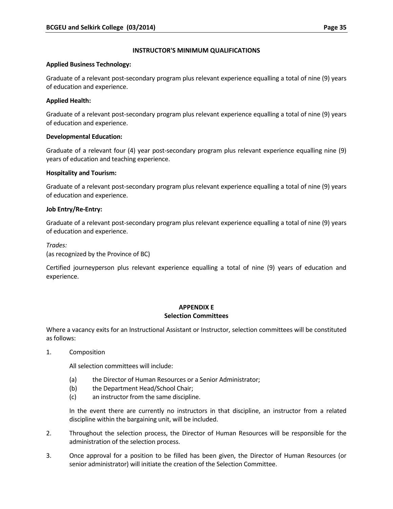# **INSTRUCTOR'S MINIMUM QUALIFICATIONS**

#### **Applied Business Technology:**

Graduate of a relevant post-secondary program plus relevant experience equalling a total of nine (9) years of education and experience.

# **Applied Health:**

Graduate of a relevant post-secondary program plus relevant experience equalling a total of nine (9) years of education and experience.

# **Developmental Education:**

Graduate of a relevant four (4) year post-secondary program plus relevant experience equalling nine (9) years of education and teaching experience.

# **Hospitality and Tourism:**

Graduate of a relevant post-secondary program plus relevant experience equalling a total of nine (9) years of education and experience.

#### **Job Entry/Re-Entry:**

Graduate of a relevant post-secondary program plus relevant experience equalling a total of nine (9) years of education and experience.

*Trades:*

(as recognized by the Province of BC)

Certified journeyperson plus relevant experience equalling a total of nine (9) years of education and experience.

# **APPENDIX E**

#### **Selection Committees**

Where a vacancy exits for an Instructional Assistant or Instructor, selection committees will be constituted as follows:

1. Composition

All selection committees will include:

- (a) the Director of Human Resources or a Senior Administrator;
- (b) the Department Head/School Chair;
- (c) an instructor from the same discipline.

In the event there are currently no instructors in that discipline, an instructor from a related discipline within the bargaining unit, will be included.

- 2. Throughout the selection process, the Director of Human Resources will be responsible for the administration of the selection process.
- 3. Once approval for a position to be filled has been given, the Director of Human Resources (or senior administrator) will initiate the creation of the Selection Committee.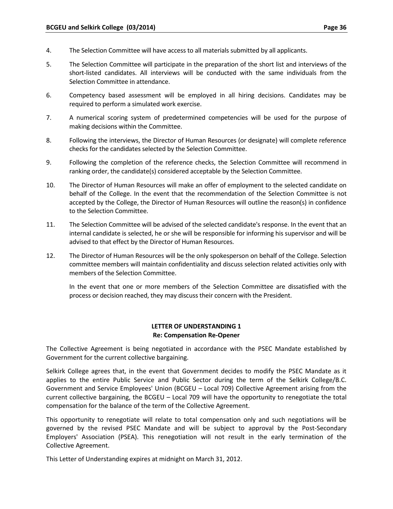- 4. The Selection Committee will have access to all materials submitted by all applicants.
- 5. The Selection Committee will participate in the preparation of the short list and interviews of the short-listed candidates. All interviews will be conducted with the same individuals from the Selection Committee in attendance.
- 6. Competency based assessment will be employed in all hiring decisions. Candidates may be required to perform a simulated work exercise.
- 7. A numerical scoring system of predetermined competencies will be used for the purpose of making decisions within the Committee.
- 8. Following the interviews, the Director of Human Resources (or designate) will complete reference checks for the candidates selected by the Selection Committee.
- 9. Following the completion of the reference checks, the Selection Committee will recommend in ranking order, the candidate(s) considered acceptable by the Selection Committee.
- 10. The Director of Human Resources will make an offer of employment to the selected candidate on behalf of the College. In the event that the recommendation of the Selection Committee is not accepted by the College, the Director of Human Resources will outline the reason(s) in confidence to the Selection Committee.
- 11. The Selection Committee will be advised of the selected candidate's response. In the event that an internal candidate is selected, he or she will be responsible for informing his supervisor and will be advised to that effect by the Director of Human Resources.
- 12. The Director of Human Resources will be the only spokesperson on behalf of the College. Selection committee members will maintain confidentiality and discuss selection related activities only with members of the Selection Committee.

In the event that one or more members of the Selection Committee are dissatisfied with the process or decision reached, they may discuss their concern with the President.

#### **LETTER OF UNDERSTANDING 1 Re: Compensation Re-Opener**

The Collective Agreement is being negotiated in accordance with the PSEC Mandate established by Government for the current collective bargaining.

Selkirk College agrees that, in the event that Government decides to modify the PSEC Mandate as it applies to the entire Public Service and Public Sector during the term of the Selkirk College/B.C. Government and Service Employees' Union (BCGEU – Local 709) Collective Agreement arising from the current collective bargaining, the BCGEU – Local 709 will have the opportunity to renegotiate the total compensation for the balance of the term of the Collective Agreement.

This opportunity to renegotiate will relate to total compensation only and such negotiations will be governed by the revised PSEC Mandate and will be subject to approval by the Post-Secondary Employers' Association (PSEA). This renegotiation will not result in the early termination of the Collective Agreement.

This Letter of Understanding expires at midnight on March 31, 2012.